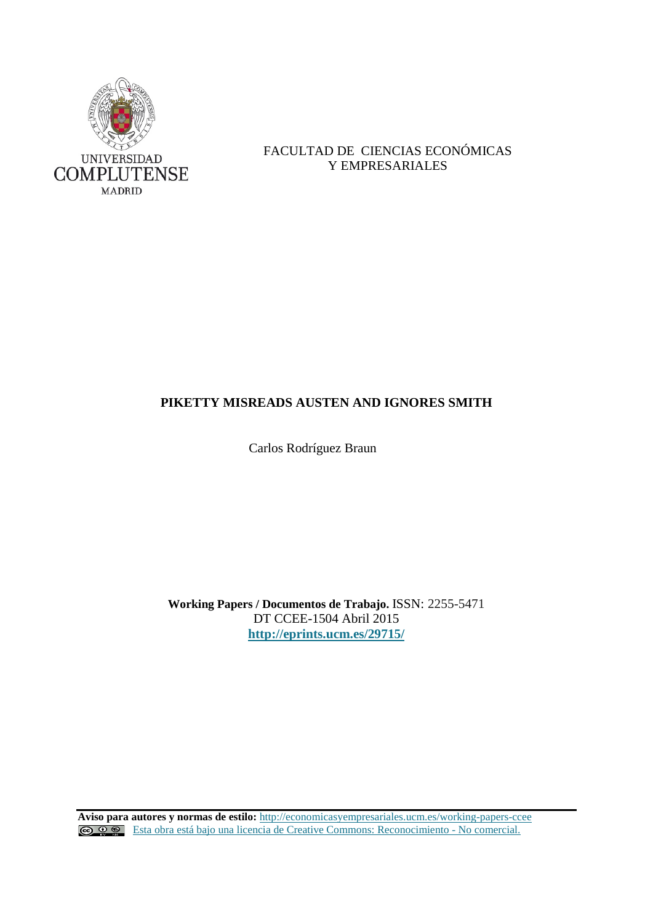

# FACULTAD DE CIENCIAS ECONÓMICAS Y EMPRESARIALES

# **PIKETTY MISREADS AUSTEN AND IGNORES SMITH**

Carlos Rodríguez Braun

**Working Papers / Documentos de Trabajo.** ISSN: 2255-5471 DT CCEE-1504 Abril 2015 **<http://eprints.ucm.es/29715/>**

**Aviso para autores y normas de estilo:** <http://economicasyempresariales.ucm.es/working-papers-ccee> [Esta obra está bajo una licencia de Creative Commons: Reconocimiento -](http://creativecommons.org/licenses/by-nc/3.0/es/) No comercial.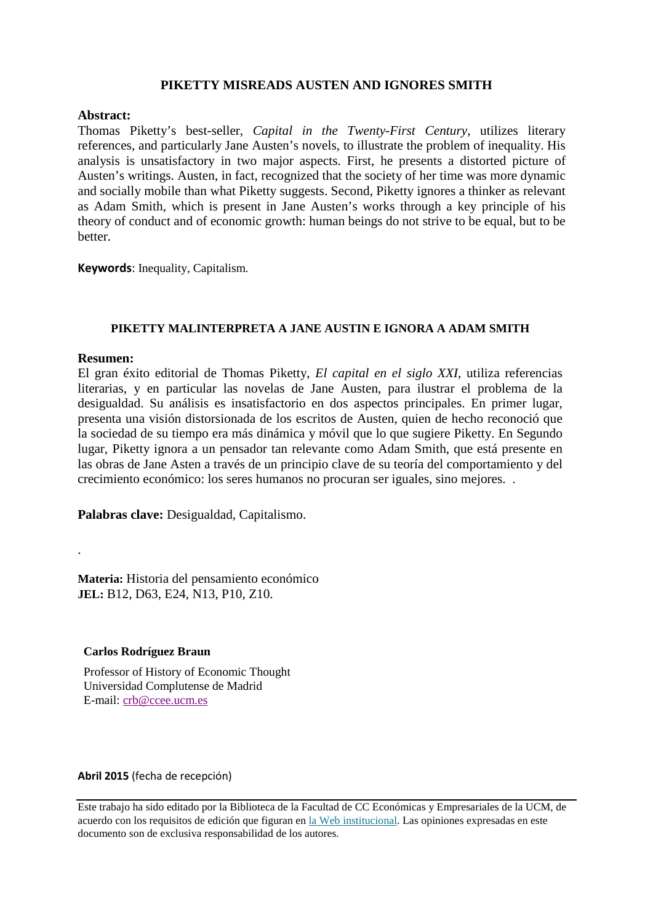# **PIKETTY MISREADS AUSTEN AND IGNORES SMITH**

# **Abstract:**

Thomas Piketty's best-seller, *Capital in the Twenty-First Century*, utilizes literary references, and particularly Jane Austen's novels, to illustrate the problem of inequality. His analysis is unsatisfactory in two major aspects. First, he presents a distorted picture of Austen's writings. Austen, in fact, recognized that the society of her time was more dynamic and socially mobile than what Piketty suggests. Second, Piketty ignores a thinker as relevant as Adam Smith, which is present in Jane Austen's works through a key principle of his theory of conduct and of economic growth: human beings do not strive to be equal, but to be better.

**Keywords**: Inequality, Capitalism.

# **PIKETTY MALINTERPRETA A JANE AUSTIN E IGNORA A ADAM SMITH**

## **Resumen:**

.

El gran éxito editorial de Thomas Piketty, *El capital en el siglo XXI*, utiliza referencias literarias, y en particular las novelas de Jane Austen, para ilustrar el problema de la desigualdad. Su análisis es insatisfactorio en dos aspectos principales. En primer lugar, presenta una visión distorsionada de los escritos de Austen, quien de hecho reconoció que la sociedad de su tiempo era más dinámica y móvil que lo que sugiere Piketty. En Segundo lugar, Piketty ignora a un pensador tan relevante como Adam Smith, que está presente en las obras de Jane Asten a través de un principio clave de su teoría del comportamiento y del crecimiento económico: los seres humanos no procuran ser iguales, sino mejores. .

**Palabras clave:** Desigualdad, Capitalismo.

**Materia:** Historia del pensamiento económico **JEL:** B12, D63, E24, N13, P10, Z10.

## **Carlos Rodríguez Braun**

Professor of History of Economic Thought Universidad Complutense de Madrid E-mail: [crb@ccee.ucm.es](mailto:crb@ccee.ucm.es)

## **Abril 2015** (fecha de recepción)

Este trabajo ha sido editado por la Biblioteca de la Facultad de CC Económicas y Empresariales de la UCM, de acuerdo con los requisitos de edición que figuran en la Web institucional. Las opiniones expresadas en este documento son de exclusiva responsabilidad de los autores.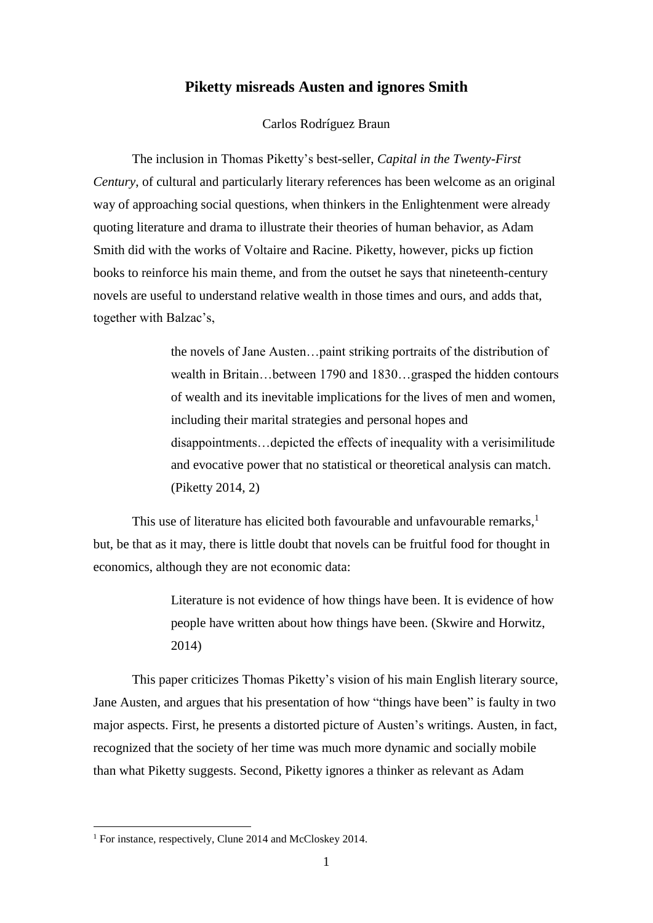# **Piketty misreads Austen and ignores Smith**

### Carlos Rodríguez Braun

The inclusion in Thomas Piketty's best-seller, *Capital in the Twenty-First Century*, of cultural and particularly literary references has been welcome as an original way of approaching social questions, when thinkers in the Enlightenment were already quoting literature and drama to illustrate their theories of human behavior, as Adam Smith did with the works of Voltaire and Racine. Piketty, however, picks up fiction books to reinforce his main theme, and from the outset he says that nineteenth-century novels are useful to understand relative wealth in those times and ours, and adds that, together with Balzac's,

> the novels of Jane Austen…paint striking portraits of the distribution of wealth in Britain…between 1790 and 1830…grasped the hidden contours of wealth and its inevitable implications for the lives of men and women, including their marital strategies and personal hopes and disappointments…depicted the effects of inequality with a verisimilitude and evocative power that no statistical or theoretical analysis can match. (Piketty 2014, 2)

This use of literature has elicited both favourable and unfavourable remarks, $<sup>1</sup>$ </sup> but, be that as it may, there is little doubt that novels can be fruitful food for thought in economics, although they are not economic data:

> Literature is not evidence of how things have been. It is evidence of how people have written about how things have been. (Skwire and Horwitz, 2014)

This paper criticizes Thomas Piketty's vision of his main English literary source, Jane Austen, and argues that his presentation of how "things have been" is faulty in two major aspects. First, he presents a distorted picture of Austen's writings. Austen, in fact, recognized that the society of her time was much more dynamic and socially mobile than what Piketty suggests. Second, Piketty ignores a thinker as relevant as Adam

<sup>&</sup>lt;sup>1</sup> For instance, respectively, Clune 2014 and McCloskey 2014.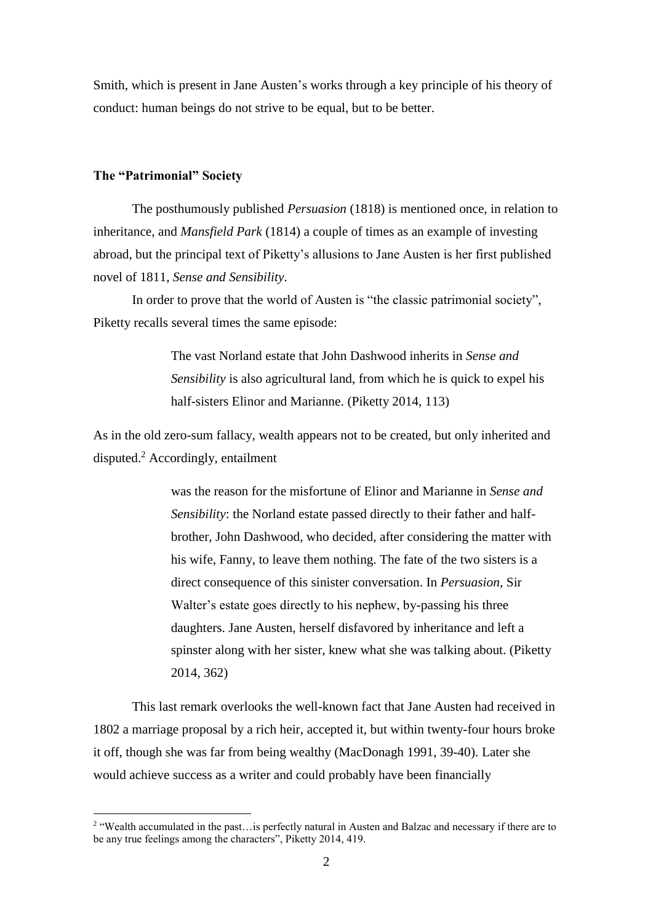Smith, which is present in Jane Austen's works through a key principle of his theory of conduct: human beings do not strive to be equal, but to be better.

# **The "Patrimonial" Society**

<u>.</u>

The posthumously published *Persuasion* (1818) is mentioned once, in relation to inheritance, and *Mansfield Park* (1814) a couple of times as an example of investing abroad, but the principal text of Piketty's allusions to Jane Austen is her first published novel of 1811, *Sense and Sensibility*.

In order to prove that the world of Austen is "the classic patrimonial society", Piketty recalls several times the same episode:

> The vast Norland estate that John Dashwood inherits in *Sense and Sensibility* is also agricultural land, from which he is quick to expel his half-sisters Elinor and Marianne. (Piketty 2014, 113)

As in the old zero-sum fallacy, wealth appears not to be created, but only inherited and disputed. <sup>2</sup> Accordingly, entailment

> was the reason for the misfortune of Elinor and Marianne in *Sense and Sensibility*: the Norland estate passed directly to their father and halfbrother, John Dashwood, who decided, after considering the matter with his wife, Fanny, to leave them nothing. The fate of the two sisters is a direct consequence of this sinister conversation. In *Persuasion*, Sir Walter's estate goes directly to his nephew, by-passing his three daughters. Jane Austen, herself disfavored by inheritance and left a spinster along with her sister, knew what she was talking about. (Piketty 2014, 362)

This last remark overlooks the well-known fact that Jane Austen had received in 1802 a marriage proposal by a rich heir, accepted it, but within twenty-four hours broke it off, though she was far from being wealthy (MacDonagh 1991, 39-40). Later she would achieve success as a writer and could probably have been financially

<sup>&</sup>lt;sup>2</sup> "Wealth accumulated in the past...is perfectly natural in Austen and Balzac and necessary if there are to be any true feelings among the characters", Piketty 2014, 419.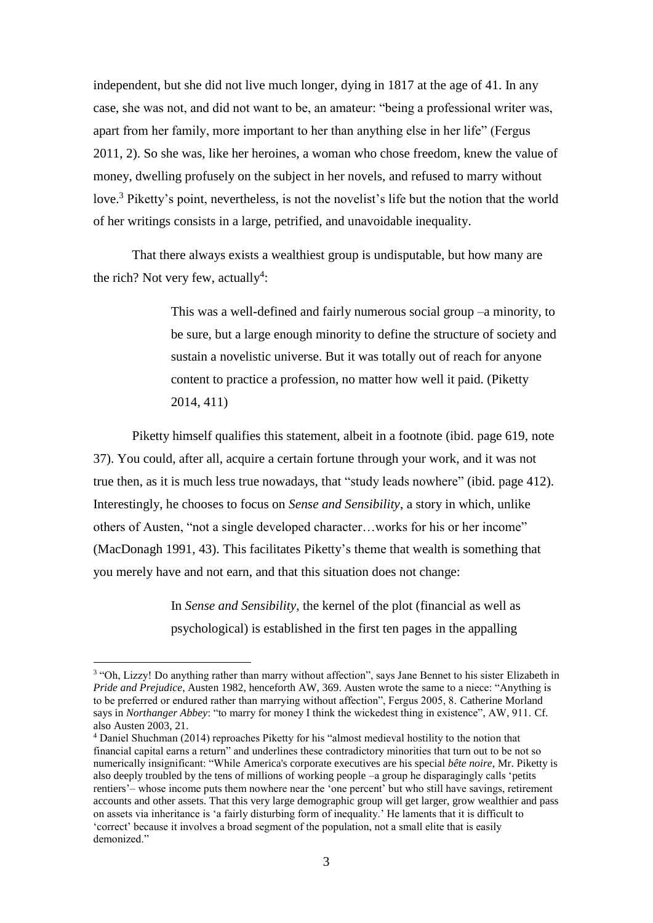independent, but she did not live much longer, dying in 1817 at the age of 41. In any case, she was not, and did not want to be, an amateur: "being a professional writer was, apart from her family, more important to her than anything else in her life" (Fergus 2011, 2). So she was, like her heroines, a woman who chose freedom, knew the value of money, dwelling profusely on the subject in her novels, and refused to marry without love.<sup>3</sup> Piketty's point, nevertheless, is not the novelist's life but the notion that the world of her writings consists in a large, petrified, and unavoidable inequality.

That there always exists a wealthiest group is undisputable, but how many are the rich? Not very few, actually<sup>4</sup>:

> This was a well-defined and fairly numerous social group –a minority, to be sure, but a large enough minority to define the structure of society and sustain a novelistic universe. But it was totally out of reach for anyone content to practice a profession, no matter how well it paid. (Piketty 2014, 411)

Piketty himself qualifies this statement, albeit in a footnote (ibid. page 619, note 37). You could, after all, acquire a certain fortune through your work, and it was not true then, as it is much less true nowadays, that "study leads nowhere" (ibid. page 412). Interestingly, he chooses to focus on *Sense and Sensibility*, a story in which, unlike others of Austen, "not a single developed character…works for his or her income" (MacDonagh 1991, 43). This facilitates Piketty's theme that wealth is something that you merely have and not earn, and that this situation does not change:

> In *Sense and Sensibility*, the kernel of the plot (financial as well as psychological) is established in the first ten pages in the appalling

<sup>&</sup>lt;sup>3</sup> "Oh, Lizzy! Do anything rather than marry without affection", says Jane Bennet to his sister Elizabeth in *Pride and Prejudice*, Austen 1982, henceforth AW, 369. Austen wrote the same to a niece: "Anything is to be preferred or endured rather than marrying without affection", Fergus 2005, 8. Catherine Morland says in *Northanger Abbey*: "to marry for money I think the wickedest thing in existence", AW, 911. Cf. also Austen 2003, 21.

<sup>4</sup> Daniel Shuchman (2014) reproaches Piketty for his "almost medieval hostility to the notion that financial capital earns a return" and underlines these contradictory minorities that turn out to be not so numerically insignificant: "While America's corporate executives are his special *bête noire*, Mr. Piketty is also deeply troubled by the tens of millions of working people –a group he disparagingly calls 'petits rentiers'– whose income puts them nowhere near the 'one percent' but who still have savings, retirement accounts and other assets. That this very large demographic group will get larger, grow wealthier and pass on assets via inheritance is 'a fairly disturbing form of inequality.' He laments that it is difficult to 'correct' because it involves a broad segment of the population, not a small elite that is easily demonized<sup>"</sup>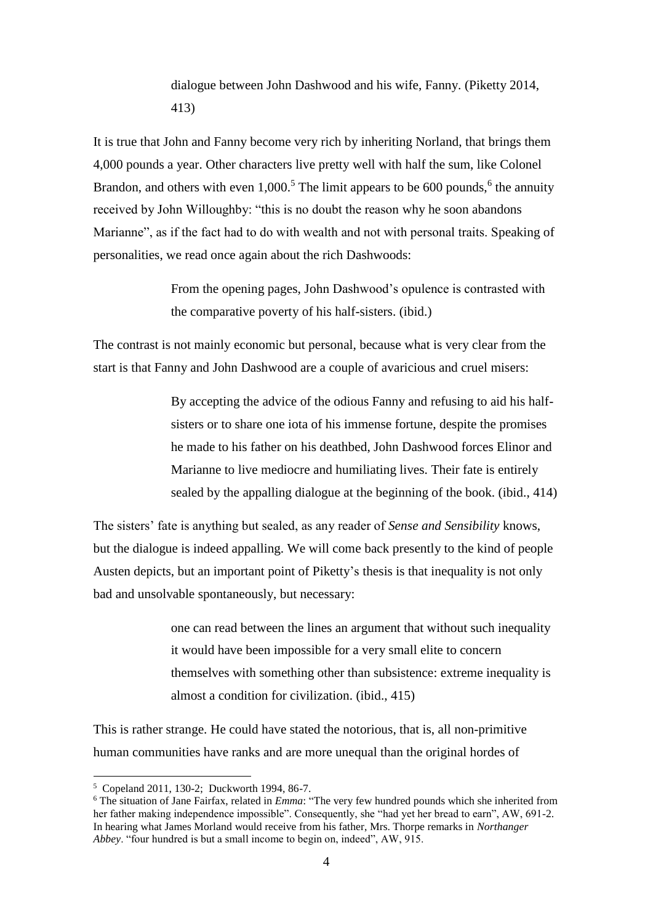dialogue between John Dashwood and his wife, Fanny. (Piketty 2014, 413)

It is true that John and Fanny become very rich by inheriting Norland, that brings them 4,000 pounds a year. Other characters live pretty well with half the sum, like Colonel Brandon, and others with even  $1,000$ .<sup>5</sup> The limit appears to be 600 pounds,<sup>6</sup> the annuity received by John Willoughby: "this is no doubt the reason why he soon abandons Marianne", as if the fact had to do with wealth and not with personal traits. Speaking of personalities, we read once again about the rich Dashwoods:

> From the opening pages, John Dashwood's opulence is contrasted with the comparative poverty of his half-sisters. (ibid.)

The contrast is not mainly economic but personal, because what is very clear from the start is that Fanny and John Dashwood are a couple of avaricious and cruel misers:

> By accepting the advice of the odious Fanny and refusing to aid his halfsisters or to share one iota of his immense fortune, despite the promises he made to his father on his deathbed, John Dashwood forces Elinor and Marianne to live mediocre and humiliating lives. Their fate is entirely sealed by the appalling dialogue at the beginning of the book. (ibid., 414)

The sisters' fate is anything but sealed, as any reader of *Sense and Sensibility* knows, but the dialogue is indeed appalling. We will come back presently to the kind of people Austen depicts, but an important point of Piketty's thesis is that inequality is not only bad and unsolvable spontaneously, but necessary:

> one can read between the lines an argument that without such inequality it would have been impossible for a very small elite to concern themselves with something other than subsistence: extreme inequality is almost a condition for civilization. (ibid., 415)

This is rather strange. He could have stated the notorious, that is, all non-primitive human communities have ranks and are more unequal than the original hordes of

<sup>5</sup> Copeland 2011, 130-2; Duckworth 1994, 86-7.

<sup>6</sup> The situation of Jane Fairfax, related in *Emma*: "The very few hundred pounds which she inherited from her father making independence impossible". Consequently, she "had yet her bread to earn", AW, 691-2. In hearing what James Morland would receive from his father, Mrs. Thorpe remarks in *Northanger Abbey*. "four hundred is but a small income to begin on, indeed", AW, 915.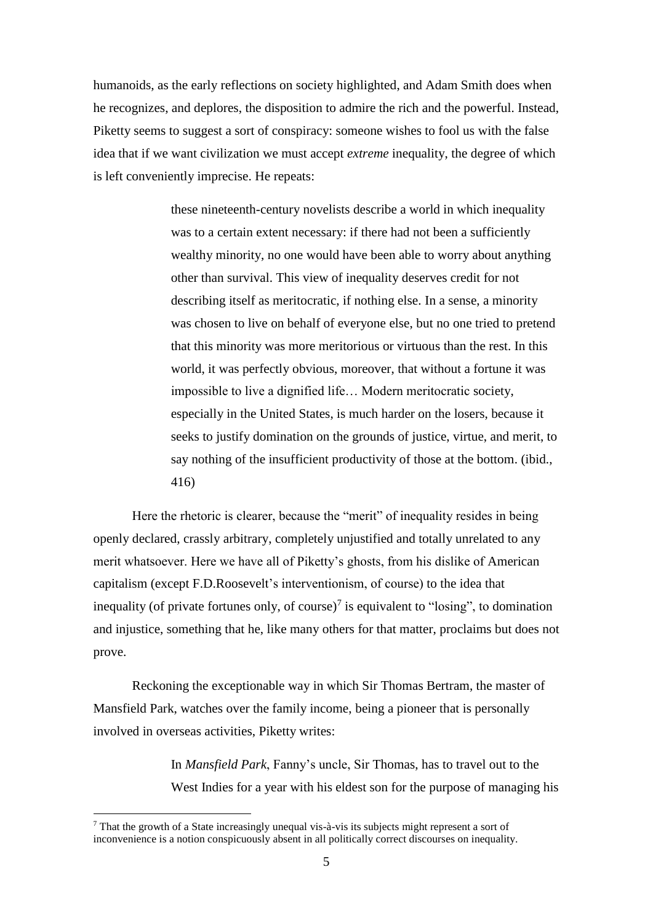humanoids, as the early reflections on society highlighted, and Adam Smith does when he recognizes, and deplores, the disposition to admire the rich and the powerful. Instead, Piketty seems to suggest a sort of conspiracy: someone wishes to fool us with the false idea that if we want civilization we must accept *extreme* inequality, the degree of which is left conveniently imprecise. He repeats:

> these nineteenth-century novelists describe a world in which inequality was to a certain extent necessary: if there had not been a sufficiently wealthy minority, no one would have been able to worry about anything other than survival. This view of inequality deserves credit for not describing itself as meritocratic, if nothing else. In a sense, a minority was chosen to live on behalf of everyone else, but no one tried to pretend that this minority was more meritorious or virtuous than the rest. In this world, it was perfectly obvious, moreover, that without a fortune it was impossible to live a dignified life… Modern meritocratic society, especially in the United States, is much harder on the losers, because it seeks to justify domination on the grounds of justice, virtue, and merit, to say nothing of the insufficient productivity of those at the bottom. (ibid., 416)

Here the rhetoric is clearer, because the "merit" of inequality resides in being openly declared, crassly arbitrary, completely unjustified and totally unrelated to any merit whatsoever. Here we have all of Piketty's ghosts, from his dislike of American capitalism (except F.D.Roosevelt's interventionism, of course) to the idea that inequality (of private fortunes only, of course)<sup>7</sup> is equivalent to "losing", to domination and injustice, something that he, like many others for that matter, proclaims but does not prove.

Reckoning the exceptionable way in which Sir Thomas Bertram, the master of Mansfield Park, watches over the family income, being a pioneer that is personally involved in overseas activities, Piketty writes:

> In *Mansfield Park*, Fanny's uncle, Sir Thomas, has to travel out to the West Indies for a year with his eldest son for the purpose of managing his

<sup>7</sup> That the growth of a State increasingly unequal vis-à-vis its subjects might represent a sort of inconvenience is a notion conspicuously absent in all politically correct discourses on inequality.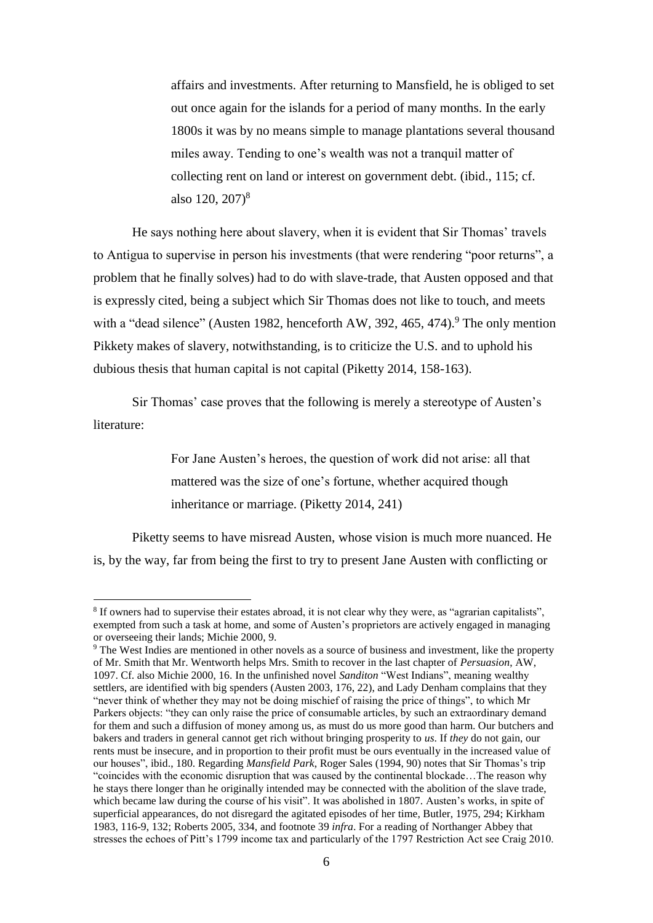affairs and investments. After returning to Mansfield, he is obliged to set out once again for the islands for a period of many months. In the early 1800s it was by no means simple to manage plantations several thousand miles away. Tending to one's wealth was not a tranquil matter of collecting rent on land or interest on government debt. (ibid., 115; cf. also  $120, 207$ <sup>8</sup>

He says nothing here about slavery, when it is evident that Sir Thomas' travels to Antigua to supervise in person his investments (that were rendering "poor returns", a problem that he finally solves) had to do with slave-trade, that Austen opposed and that is expressly cited, being a subject which Sir Thomas does not like to touch, and meets with a "dead silence" (Austen 1982, henceforth AW, 392, 465, 474).<sup>9</sup> The only mention Pikkety makes of slavery, notwithstanding, is to criticize the U.S. and to uphold his dubious thesis that human capital is not capital (Piketty 2014, 158-163).

Sir Thomas' case proves that the following is merely a stereotype of Austen's literature:

> For Jane Austen's heroes, the question of work did not arise: all that mattered was the size of one's fortune, whether acquired though inheritance or marriage. (Piketty 2014, 241)

Piketty seems to have misread Austen, whose vision is much more nuanced. He is, by the way, far from being the first to try to present Jane Austen with conflicting or

<sup>8</sup> If owners had to supervise their estates abroad, it is not clear why they were, as "agrarian capitalists", exempted from such a task at home, and some of Austen's proprietors are actively engaged in managing or overseeing their lands; Michie 2000, 9.

<sup>9</sup> The West Indies are mentioned in other novels as a source of business and investment, like the property of Mr. Smith that Mr. Wentworth helps Mrs. Smith to recover in the last chapter of *Persuasion*, AW, 1097. Cf. also Michie 2000, 16. In the unfinished novel *Sanditon* "West Indians", meaning wealthy settlers, are identified with big spenders (Austen 2003, 176, 22), and Lady Denham complains that they "never think of whether they may not be doing mischief of raising the price of things", to which Mr Parkers objects: "they can only raise the price of consumable articles, by such an extraordinary demand for them and such a diffusion of money among us, as must do us more good than harm. Our butchers and bakers and traders in general cannot get rich without bringing prosperity to *us*. If *they* do not gain, our rents must be insecure, and in proportion to their profit must be ours eventually in the increased value of our houses", ibid., 180. Regarding *Mansfield Park*, Roger Sales (1994, 90) notes that Sir Thomas's trip "coincides with the economic disruption that was caused by the continental blockade…The reason why he stays there longer than he originally intended may be connected with the abolition of the slave trade, which became law during the course of his visit". It was abolished in 1807. Austen's works, in spite of superficial appearances, do not disregard the agitated episodes of her time, Butler, 1975, 294; Kirkham 1983, 116-9, 132; Roberts 2005, 334, and footnote 39 *infra*. For a reading of Northanger Abbey that stresses the echoes of Pitt's 1799 income tax and particularly of the 1797 Restriction Act see Craig 2010.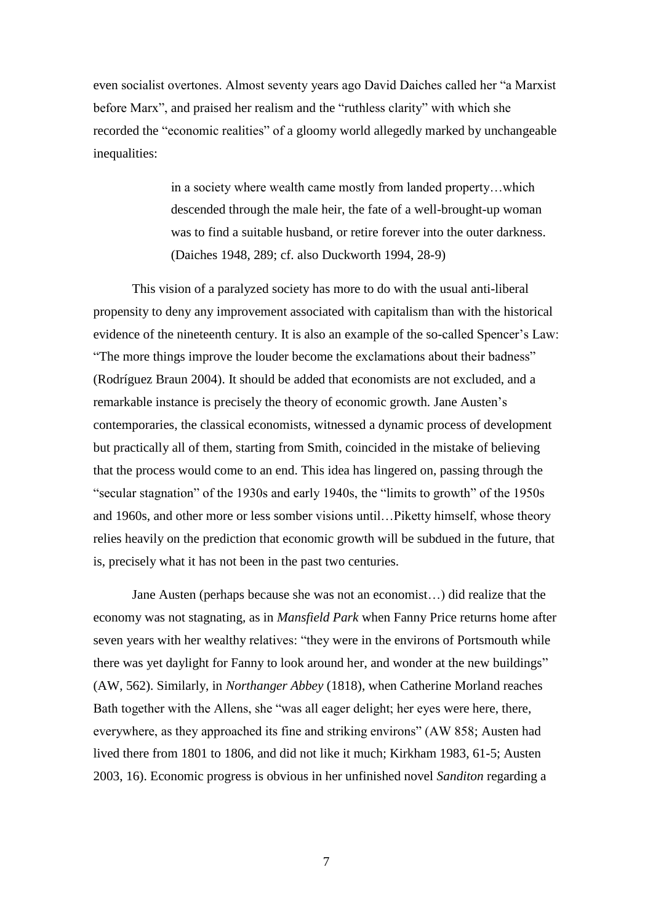even socialist overtones. Almost seventy years ago David Daiches called her "a Marxist before Marx", and praised her realism and the "ruthless clarity" with which she recorded the "economic realities" of a gloomy world allegedly marked by unchangeable inequalities:

> in a society where wealth came mostly from landed property…which descended through the male heir, the fate of a well-brought-up woman was to find a suitable husband, or retire forever into the outer darkness. (Daiches 1948, 289; cf. also Duckworth 1994, 28-9)

This vision of a paralyzed society has more to do with the usual anti-liberal propensity to deny any improvement associated with capitalism than with the historical evidence of the nineteenth century. It is also an example of the so-called Spencer's Law: "The more things improve the louder become the exclamations about their badness" (Rodríguez Braun 2004). It should be added that economists are not excluded, and a remarkable instance is precisely the theory of economic growth. Jane Austen's contemporaries, the classical economists, witnessed a dynamic process of development but practically all of them, starting from Smith, coincided in the mistake of believing that the process would come to an end. This idea has lingered on, passing through the "secular stagnation" of the 1930s and early 1940s, the "limits to growth" of the 1950s and 1960s, and other more or less somber visions until…Piketty himself, whose theory relies heavily on the prediction that economic growth will be subdued in the future, that is, precisely what it has not been in the past two centuries.

Jane Austen (perhaps because she was not an economist…) did realize that the economy was not stagnating, as in *Mansfield Park* when Fanny Price returns home after seven years with her wealthy relatives: "they were in the environs of Portsmouth while there was yet daylight for Fanny to look around her, and wonder at the new buildings" (AW, 562). Similarly, in *Northanger Abbey* (1818), when Catherine Morland reaches Bath together with the Allens, she "was all eager delight; her eyes were here, there, everywhere, as they approached its fine and striking environs" (AW 858; Austen had lived there from 1801 to 1806, and did not like it much; Kirkham 1983, 61-5; Austen 2003, 16). Economic progress is obvious in her unfinished novel *Sanditon* regarding a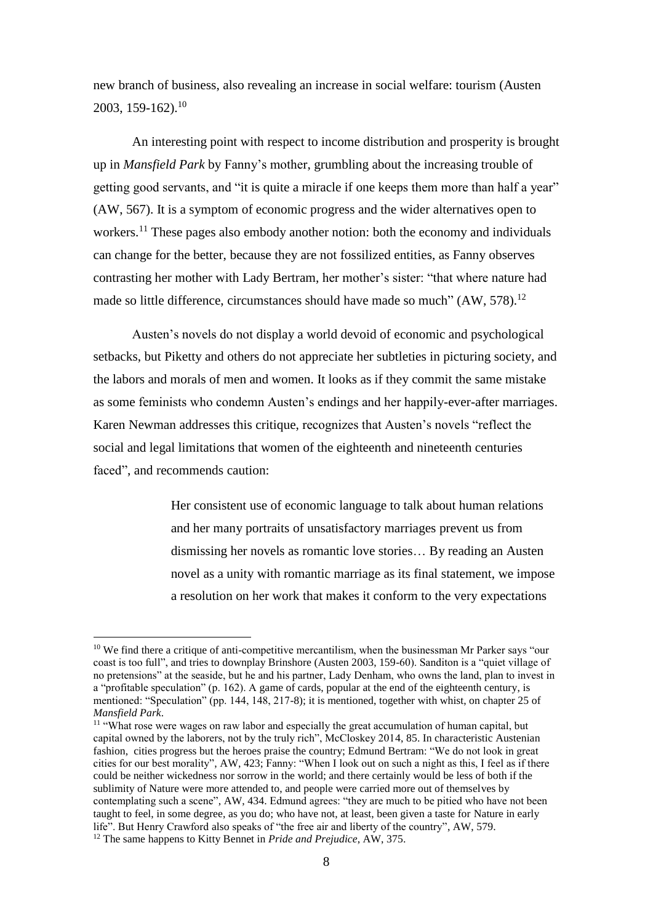new branch of business, also revealing an increase in social welfare: tourism (Austen 2003, 159-162).<sup>10</sup>

An interesting point with respect to income distribution and prosperity is brought up in *Mansfield Park* by Fanny's mother, grumbling about the increasing trouble of getting good servants, and "it is quite a miracle if one keeps them more than half a year" (AW, 567). It is a symptom of economic progress and the wider alternatives open to workers.<sup>11</sup> These pages also embody another notion: both the economy and individuals can change for the better, because they are not fossilized entities, as Fanny observes contrasting her mother with Lady Bertram, her mother's sister: "that where nature had made so little difference, circumstances should have made so much" (AW, 578).<sup>12</sup>

Austen's novels do not display a world devoid of economic and psychological setbacks, but Piketty and others do not appreciate her subtleties in picturing society, and the labors and morals of men and women. It looks as if they commit the same mistake as some feminists who condemn Austen's endings and her happily-ever-after marriages. Karen Newman addresses this critique, recognizes that Austen's novels "reflect the social and legal limitations that women of the eighteenth and nineteenth centuries faced", and recommends caution:

> Her consistent use of economic language to talk about human relations and her many portraits of unsatisfactory marriages prevent us from dismissing her novels as romantic love stories… By reading an Austen novel as a unity with romantic marriage as its final statement, we impose a resolution on her work that makes it conform to the very expectations

<sup>&</sup>lt;sup>10</sup> We find there a critique of anti-competitive mercantilism, when the businessman Mr Parker says "our coast is too full", and tries to downplay Brinshore (Austen 2003, 159-60). Sanditon is a "quiet village of no pretensions" at the seaside, but he and his partner, Lady Denham, who owns the land, plan to invest in a "profitable speculation" (p. 162). A game of cards, popular at the end of the eighteenth century, is mentioned: "Speculation" (pp. 144, 148, 217-8); it is mentioned, together with whist, on chapter 25 of *Mansfield Park*.

<sup>&</sup>lt;sup>11</sup> "What rose were wages on raw labor and especially the great accumulation of human capital, but capital owned by the laborers, not by the truly rich", McCloskey 2014, 85. In characteristic Austenian fashion, cities progress but the heroes praise the country; Edmund Bertram: "We do not look in great cities for our best morality", AW, 423; Fanny: "When I look out on such a night as this, I feel as if there could be neither wickedness nor sorrow in the world; and there certainly would be less of both if the sublimity of Nature were more attended to, and people were carried more out of themselves by contemplating such a scene", AW, 434. Edmund agrees: "they are much to be pitied who have not been taught to feel, in some degree, as you do; who have not, at least, been given a taste for Nature in early life". But Henry Crawford also speaks of "the free air and liberty of the country", AW, 579. <sup>12</sup> The same happens to Kitty Bennet in *Pride and Prejudice*, AW, 375.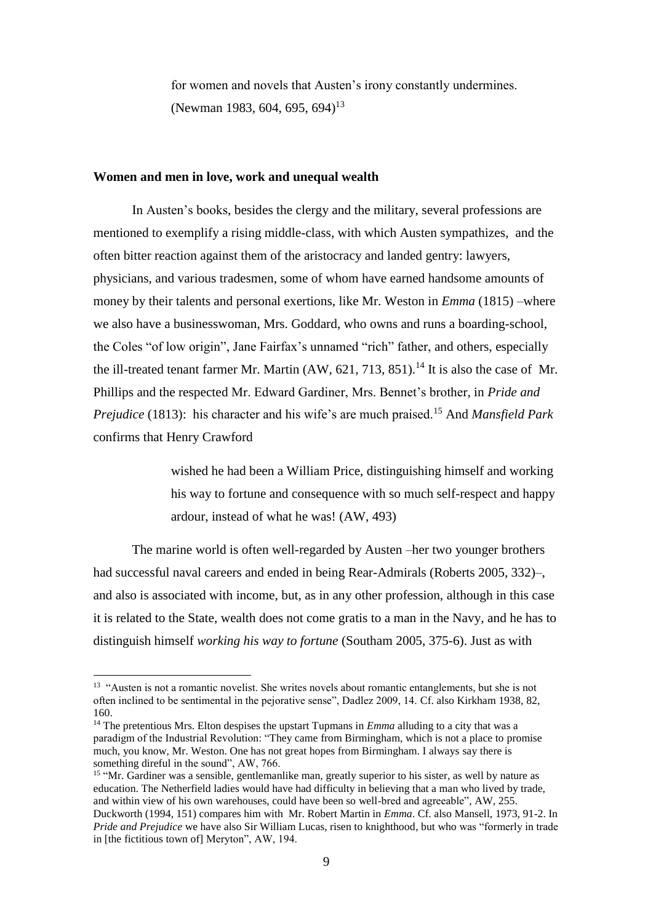for women and novels that Austen's irony constantly undermines. (Newman 1983, 604, 695, 694)<sup>13</sup>

### **Women and men in love, work and unequal wealth**

In Austen's books, besides the clergy and the military, several professions are mentioned to exemplify a rising middle-class, with which Austen sympathizes, and the often bitter reaction against them of the aristocracy and landed gentry: lawyers, physicians, and various tradesmen, some of whom have earned handsome amounts of money by their talents and personal exertions, like Mr. Weston in *Emma* (1815) –where we also have a businesswoman, Mrs. Goddard, who owns and runs a boarding-school, the Coles "of low origin", Jane Fairfax's unnamed "rich" father, and others, especially the ill-treated tenant farmer Mr. Martin  $(AW, 621, 713, 851)$ .<sup>14</sup> It is also the case of Mr. Phillips and the respected Mr. Edward Gardiner, Mrs. Bennet's brother, in *Pride and Prejudice* (1813): his character and his wife's are much praised.<sup>15</sup> And *Mansfield Park* confirms that Henry Crawford

> wished he had been a William Price, distinguishing himself and working his way to fortune and consequence with so much self-respect and happy ardour, instead of what he was! (AW, 493)

The marine world is often well-regarded by Austen –her two younger brothers had successful naval careers and ended in being Rear-Admirals (Roberts 2005, 332)–, and also is associated with income, but, as in any other profession, although in this case it is related to the State, wealth does not come gratis to a man in the Navy, and he has to distinguish himself *working his way to fortune* (Southam 2005, 375-6). Just as with

<sup>&</sup>lt;sup>13</sup> "Austen is not a romantic novelist. She writes novels about romantic entanglements, but she is not often inclined to be sentimental in the pejorative sense", Dadlez 2009, 14. Cf. also Kirkham 1938, 82, 160.

<sup>&</sup>lt;sup>14</sup> The pretentious Mrs. Elton despises the upstart Tupmans in *Emma* alluding to a city that was a paradigm of the Industrial Revolution: "They came from Birmingham, which is not a place to promise much, you know, Mr. Weston. One has not great hopes from Birmingham. I always say there is something direful in the sound", AW, 766.

<sup>&</sup>lt;sup>15</sup> "Mr. Gardiner was a sensible, gentlemanlike man, greatly superior to his sister, as well by nature as education. The Netherfield ladies would have had difficulty in believing that a man who lived by trade, and within view of his own warehouses, could have been so well-bred and agreeable", AW, 255. Duckworth (1994, 151) compares him with Mr. Robert Martin in *Emma*. Cf. also Mansell, 1973, 91-2. In *Pride and Prejudice* we have also Sir William Lucas, risen to knighthood, but who was "formerly in trade in [the fictitious town of] Meryton", AW, 194.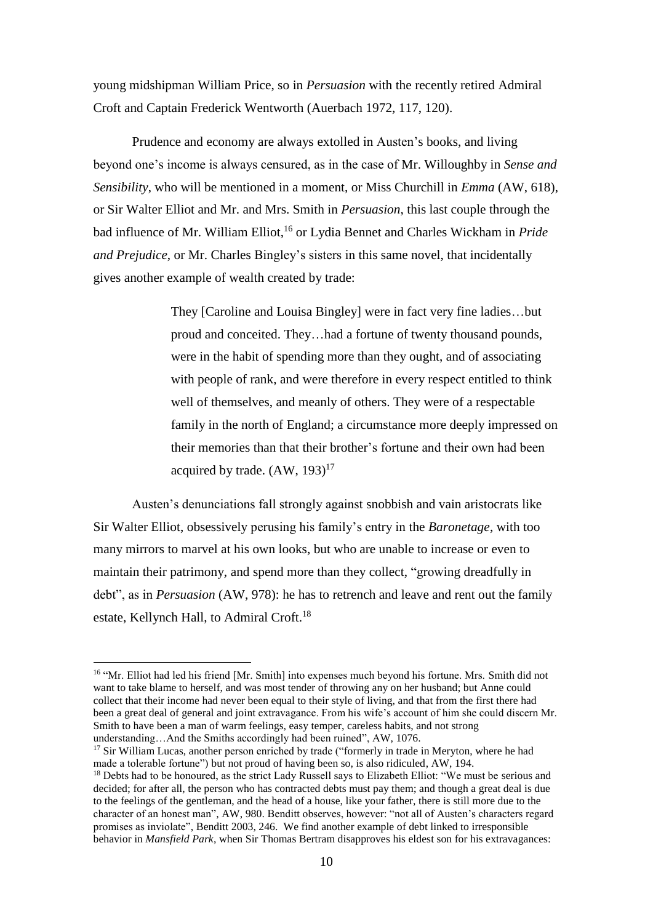young midshipman William Price, so in *Persuasion* with the recently retired Admiral Croft and Captain Frederick Wentworth (Auerbach 1972, 117, 120).

Prudence and economy are always extolled in Austen's books, and living beyond one's income is always censured, as in the case of Mr. Willoughby in *Sense and Sensibility*, who will be mentioned in a moment, or Miss Churchill in *Emma* (AW, 618), or Sir Walter Elliot and Mr. and Mrs. Smith in *Persuasion*, this last couple through the bad influence of Mr. William Elliot, <sup>16</sup> or Lydia Bennet and Charles Wickham in *Pride and Prejudice*, or Mr. Charles Bingley's sisters in this same novel, that incidentally gives another example of wealth created by trade:

> They [Caroline and Louisa Bingley] were in fact very fine ladies…but proud and conceited. They…had a fortune of twenty thousand pounds, were in the habit of spending more than they ought, and of associating with people of rank, and were therefore in every respect entitled to think well of themselves, and meanly of others. They were of a respectable family in the north of England; a circumstance more deeply impressed on their memories than that their brother's fortune and their own had been acquired by trade.  $(AW, 193)^{17}$

Austen's denunciations fall strongly against snobbish and vain aristocrats like Sir Walter Elliot, obsessively perusing his family's entry in the *Baronetage*, with too many mirrors to marvel at his own looks, but who are unable to increase or even to maintain their patrimony, and spend more than they collect, "growing dreadfully in debt", as in *Persuasion* (AW, 978): he has to retrench and leave and rent out the family estate, Kellynch Hall, to Admiral Croft.<sup>18</sup>

<sup>&</sup>lt;sup>16</sup> "Mr. Elliot had led his friend [Mr. Smith] into expenses much beyond his fortune. Mrs. Smith did not want to take blame to herself, and was most tender of throwing any on her husband; but Anne could collect that their income had never been equal to their style of living, and that from the first there had been a great deal of general and joint extravagance. From his wife's account of him she could discern Mr. Smith to have been a man of warm feelings, easy temper, careless habits, and not strong understanding…And the Smiths accordingly had been ruined", AW, 1076.

<sup>&</sup>lt;sup>17</sup> Sir William Lucas, another person enriched by trade ("formerly in trade in Meryton, where he had made a tolerable fortune") but not proud of having been so, is also ridiculed, AW, 194.

<sup>&</sup>lt;sup>18</sup> Debts had to be honoured, as the strict Lady Russell says to Elizabeth Elliot: "We must be serious and decided; for after all, the person who has contracted debts must pay them; and though a great deal is due to the feelings of the gentleman, and the head of a house, like your father, there is still more due to the character of an honest man", AW, 980. Benditt observes, however: "not all of Austen's characters regard promises as inviolate", Benditt 2003, 246. We find another example of debt linked to irresponsible behavior in *Mansfield Park*, when Sir Thomas Bertram disapproves his eldest son for his extravagances: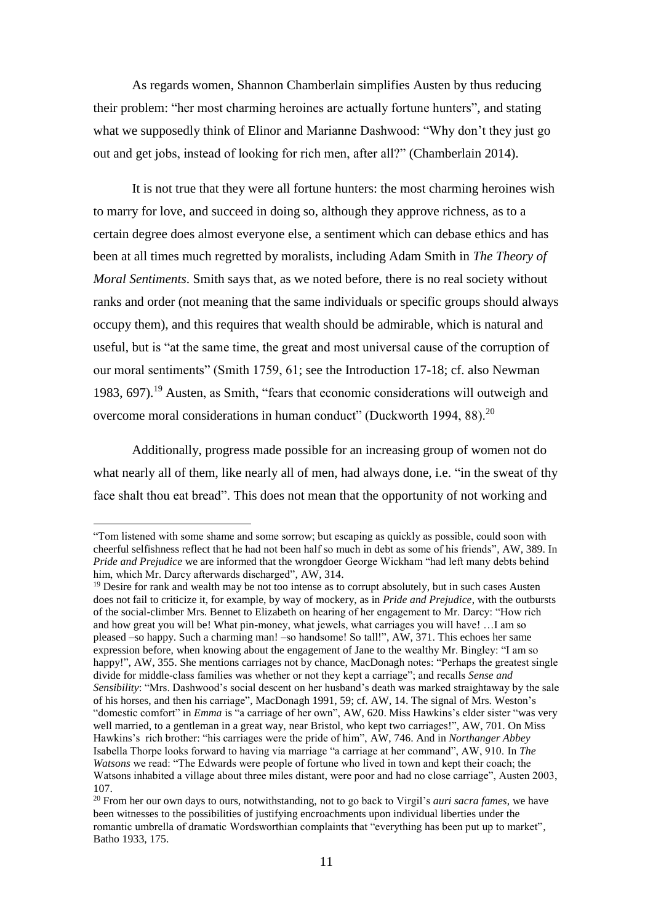As regards women, Shannon Chamberlain simplifies Austen by thus reducing their problem: "her most charming heroines are actually fortune hunters", and stating what we supposedly think of Elinor and Marianne Dashwood: "Why don't they just go out and get jobs, instead of looking for rich men, after all?" (Chamberlain 2014).

It is not true that they were all fortune hunters: the most charming heroines wish to marry for love, and succeed in doing so, although they approve richness, as to a certain degree does almost everyone else, a sentiment which can debase ethics and has been at all times much regretted by moralists, including Adam Smith in *The Theory of Moral Sentiments*. Smith says that, as we noted before, there is no real society without ranks and order (not meaning that the same individuals or specific groups should always occupy them), and this requires that wealth should be admirable, which is natural and useful, but is "at the same time, the great and most universal cause of the corruption of our moral sentiments" (Smith 1759, 61; see the Introduction 17-18; cf. also Newman 1983, 697). <sup>19</sup> Austen, as Smith, "fears that economic considerations will outweigh and overcome moral considerations in human conduct" (Duckworth 1994, 88).<sup>20</sup>

Additionally, progress made possible for an increasing group of women not do what nearly all of them, like nearly all of men, had always done, i.e. "in the sweat of thy face shalt thou eat bread". This does not mean that the opportunity of not working and

<sup>&</sup>quot;Tom listened with some shame and some sorrow; but escaping as quickly as possible, could soon with cheerful selfishness reflect that he had not been half so much in debt as some of his friends", AW, 389. In *Pride and Prejudice* we are informed that the wrongdoer George Wickham "had left many debts behind him, which Mr. Darcy afterwards discharged", AW, 314.

 $<sup>19</sup>$  Desire for rank and wealth may be not too intense as to corrupt absolutely, but in such cases Austen</sup> does not fail to criticize it, for example, by way of mockery, as in *Pride and Prejudice*, with the outbursts of the social-climber Mrs. Bennet to Elizabeth on hearing of her engagement to Mr. Darcy: "How rich and how great you will be! What pin-money, what jewels, what carriages you will have! …I am so pleased –so happy. Such a charming man! –so handsome! So tall!", AW, 371. This echoes her same expression before, when knowing about the engagement of Jane to the wealthy Mr. Bingley: "I am so happy!", AW, 355. She mentions carriages not by chance, MacDonagh notes: "Perhaps the greatest single divide for middle-class families was whether or not they kept a carriage"; and recalls *Sense and Sensibility*: "Mrs. Dashwood's social descent on her husband's death was marked straightaway by the sale of his horses, and then his carriage", MacDonagh 1991, 59; cf. AW, 14. The signal of Mrs. Weston's "domestic comfort" in *Emma* is "a carriage of her own", AW, 620. Miss Hawkins's elder sister "was very well married, to a gentleman in a great way, near Bristol, who kept two carriages!", AW, 701. On Miss Hawkins's rich brother: "his carriages were the pride of him", AW, 746. And in *Northanger Abbey*  Isabella Thorpe looks forward to having via marriage "a carriage at her command", AW, 910. In *The Watsons* we read: "The Edwards were people of fortune who lived in town and kept their coach; the Watsons inhabited a village about three miles distant, were poor and had no close carriage", Austen 2003, 107.

<sup>20</sup> From her our own days to ours, notwithstanding, not to go back to Virgil's *auri sacra fames*, we have been witnesses to the possibilities of justifying encroachments upon individual liberties under the romantic umbrella of dramatic Wordsworthian complaints that "everything has been put up to market", Batho 1933, 175.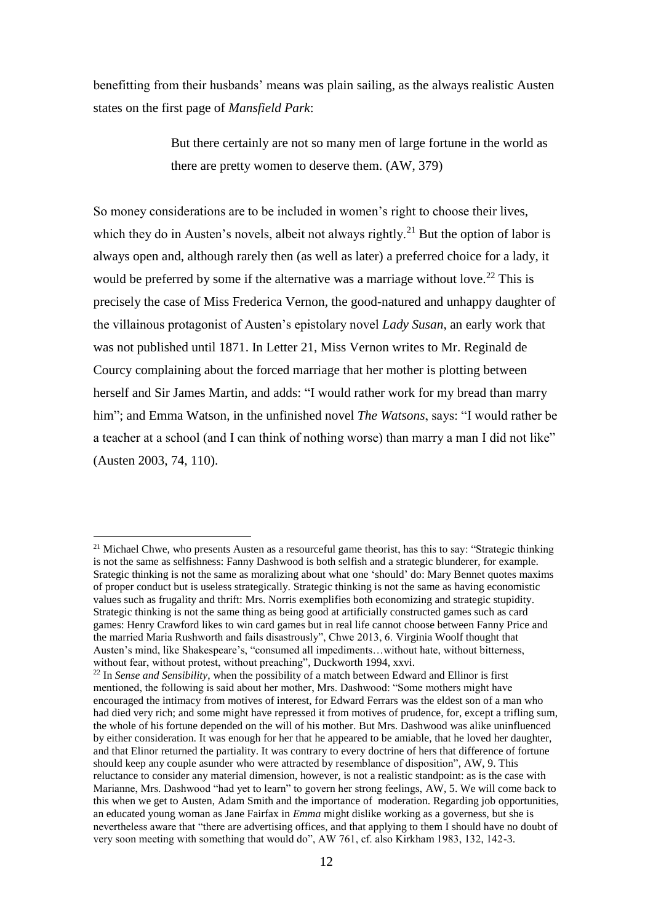benefitting from their husbands' means was plain sailing, as the always realistic Austen states on the first page of *Mansfield Park*:

> But there certainly are not so many men of large fortune in the world as there are pretty women to deserve them. (AW, 379)

So money considerations are to be included in women's right to choose their lives, which they do in Austen's novels, albeit not always rightly.<sup>21</sup> But the option of labor is always open and, although rarely then (as well as later) a preferred choice for a lady, it would be preferred by some if the alternative was a marriage without love.<sup>22</sup> This is precisely the case of Miss Frederica Vernon, the good-natured and unhappy daughter of the villainous protagonist of Austen's epistolary novel *Lady Susan*, an early work that was not published until 1871. In Letter 21, Miss Vernon writes to Mr. Reginald de Courcy complaining about the forced marriage that her mother is plotting between herself and Sir James Martin, and adds: "I would rather work for my bread than marry him"; and Emma Watson, in the unfinished novel *The Watsons*, says: "I would rather be a teacher at a school (and I can think of nothing worse) than marry a man I did not like" (Austen 2003, 74, 110).

<sup>&</sup>lt;sup>21</sup> Michael Chwe, who presents Austen as a resourceful game theorist, has this to say: "Strategic thinking is not the same as selfishness: Fanny Dashwood is both selfish and a strategic blunderer, for example. Srategic thinking is not the same as moralizing about what one 'should' do: Mary Bennet quotes maxims of proper conduct but is useless strategically. Strategic thinking is not the same as having economistic values such as frugality and thrift: Mrs. Norris exemplifies both economizing and strategic stupidity. Strategic thinking is not the same thing as being good at artificially constructed games such as card games: Henry Crawford likes to win card games but in real life cannot choose between Fanny Price and the married Maria Rushworth and fails disastrously", Chwe 2013, 6. Virginia Woolf thought that Austen's mind, like Shakespeare's, "consumed all impediments…without hate, without bitterness, without fear, without protest, without preaching", Duckworth 1994, xxvi.

<sup>22</sup> In *Sense and Sensibility*, when the possibility of a match between Edward and Ellinor is first mentioned, the following is said about her mother, Mrs. Dashwood: "Some mothers might have encouraged the intimacy from motives of interest, for Edward Ferrars was the eldest son of a man who had died very rich; and some might have repressed it from motives of prudence, for, except a trifling sum, the whole of his fortune depended on the will of his mother. But Mrs. Dashwood was alike uninfluenced by either consideration. It was enough for her that he appeared to be amiable, that he loved her daughter, and that Elinor returned the partiality. It was contrary to every doctrine of hers that difference of fortune should keep any couple asunder who were attracted by resemblance of disposition", AW, 9. This reluctance to consider any material dimension, however, is not a realistic standpoint: as is the case with Marianne, Mrs. Dashwood "had yet to learn" to govern her strong feelings, AW, 5. We will come back to this when we get to Austen, Adam Smith and the importance of moderation. Regarding job opportunities, an educated young woman as Jane Fairfax in *Emma* might dislike working as a governess, but she is nevertheless aware that "there are advertising offices, and that applying to them I should have no doubt of very soon meeting with something that would do", AW 761, cf. also Kirkham 1983, 132, 142-3.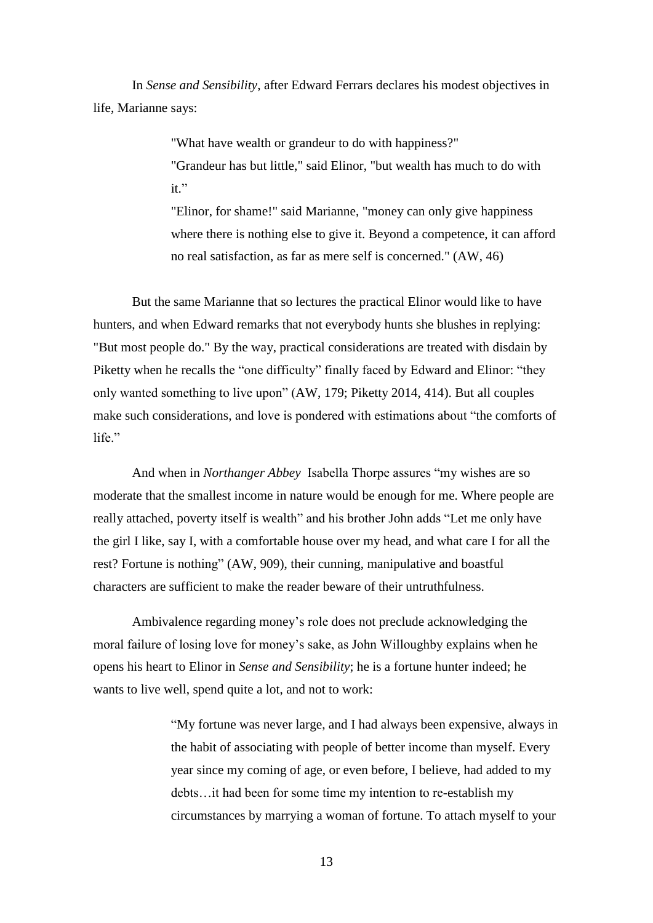In *Sense and Sensibility*, after Edward Ferrars declares his modest objectives in life, Marianne says:

> "What have wealth or grandeur to do with happiness?" "Grandeur has but little," said Elinor, "but wealth has much to do with  $it$ "

"Elinor, for shame!" said Marianne, "money can only give happiness where there is nothing else to give it. Beyond a competence, it can afford no real satisfaction, as far as mere self is concerned." (AW, 46)

But the same Marianne that so lectures the practical Elinor would like to have hunters, and when Edward remarks that not everybody hunts she blushes in replying: "But most people do." By the way, practical considerations are treated with disdain by Piketty when he recalls the "one difficulty" finally faced by Edward and Elinor: "they only wanted something to live upon" (AW, 179; Piketty 2014, 414). But all couples make such considerations, and love is pondered with estimations about "the comforts of life."

And when in *Northanger Abbey* Isabella Thorpe assures "my wishes are so moderate that the smallest income in nature would be enough for me. Where people are really attached, poverty itself is wealth" and his brother John adds "Let me only have the girl I like, say I, with a comfortable house over my head, and what care I for all the rest? Fortune is nothing" (AW, 909), their cunning, manipulative and boastful characters are sufficient to make the reader beware of their untruthfulness.

Ambivalence regarding money's role does not preclude acknowledging the moral failure of losing love for money's sake, as John Willoughby explains when he opens his heart to Elinor in *Sense and Sensibility*; he is a fortune hunter indeed; he wants to live well, spend quite a lot, and not to work:

> "My fortune was never large, and I had always been expensive, always in the habit of associating with people of better income than myself. Every year since my coming of age, or even before, I believe, had added to my debts…it had been for some time my intention to re-establish my circumstances by marrying a woman of fortune. To attach myself to your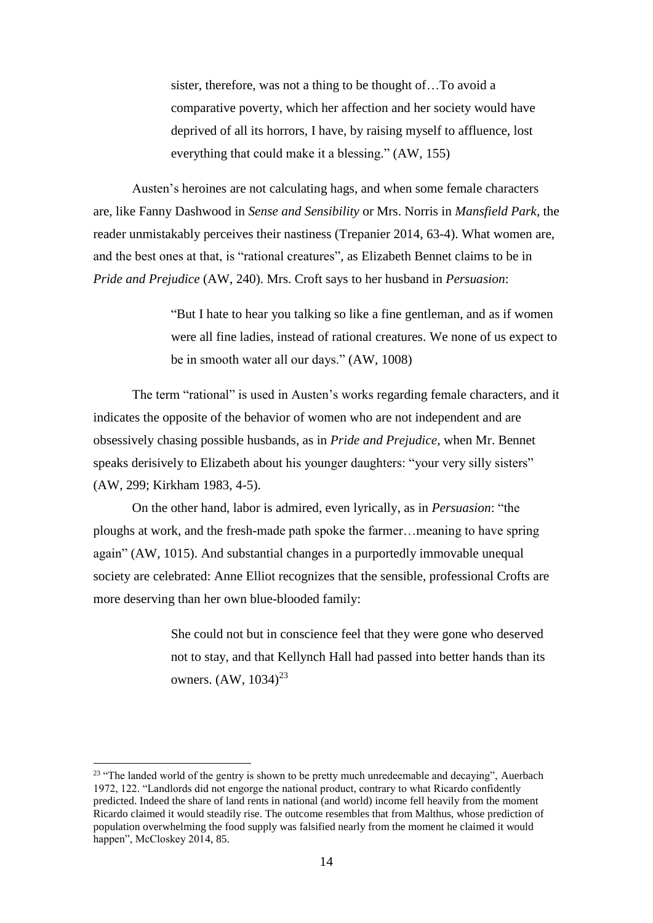sister, therefore, was not a thing to be thought of…To avoid a comparative poverty, which her affection and her society would have deprived of all its horrors, I have, by raising myself to affluence, lost everything that could make it a blessing." (AW, 155)

Austen's heroines are not calculating hags, and when some female characters are, like Fanny Dashwood in *Sense and Sensibility* or Mrs. Norris in *Mansfield Park*, the reader unmistakably perceives their nastiness (Trepanier 2014, 63-4). What women are, and the best ones at that, is "rational creatures", as Elizabeth Bennet claims to be in *Pride and Prejudice* (AW, 240). Mrs. Croft says to her husband in *Persuasion*:

> "But I hate to hear you talking so like a fine gentleman, and as if women were all fine ladies, instead of rational creatures. We none of us expect to be in smooth water all our days." (AW, 1008)

The term "rational" is used in Austen's works regarding female characters, and it indicates the opposite of the behavior of women who are not independent and are obsessively chasing possible husbands, as in *Pride and Prejudice*, when Mr. Bennet speaks derisively to Elizabeth about his younger daughters: "your very silly sisters" (AW, 299; Kirkham 1983, 4-5).

On the other hand, labor is admired, even lyrically, as in *Persuasion*: "the ploughs at work, and the fresh-made path spoke the farmer…meaning to have spring again" (AW, 1015). And substantial changes in a purportedly immovable unequal society are celebrated: Anne Elliot recognizes that the sensible, professional Crofts are more deserving than her own blue-blooded family:

> She could not but in conscience feel that they were gone who deserved not to stay, and that Kellynch Hall had passed into better hands than its owners.  $(AW, 1034)^{23}$

<sup>&</sup>lt;sup>23</sup> "The landed world of the gentry is shown to be pretty much unredeemable and decaying", Auerbach 1972, 122. "Landlords did not engorge the national product, contrary to what Ricardo confidently predicted. Indeed the share of land rents in national (and world) income fell heavily from the moment Ricardo claimed it would steadily rise. The outcome resembles that from Malthus, whose prediction of population overwhelming the food supply was falsified nearly from the moment he claimed it would happen", McCloskey 2014, 85.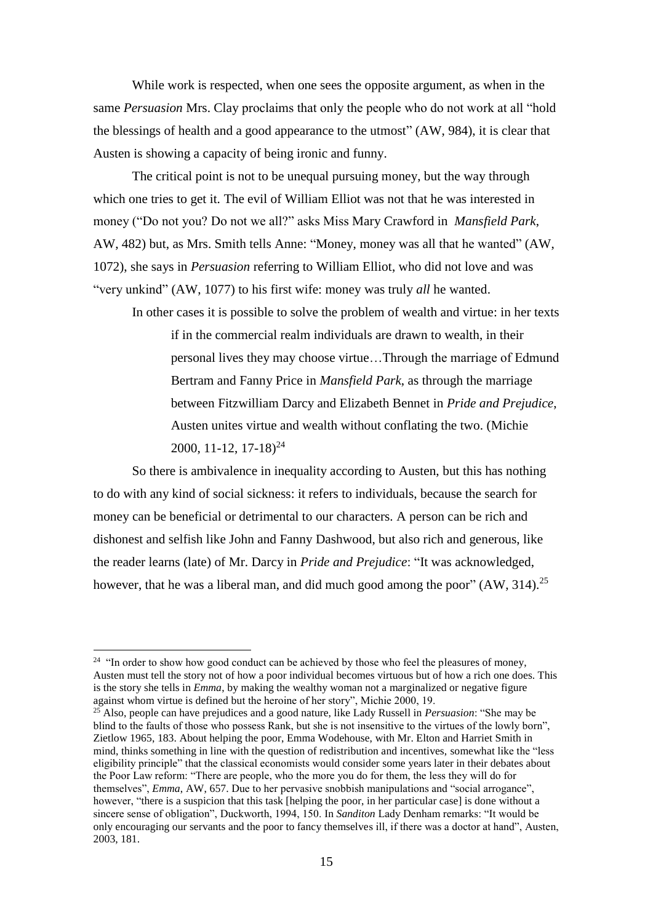While work is respected, when one sees the opposite argument, as when in the same *Persuasion* Mrs. Clay proclaims that only the people who do not work at all "hold the blessings of health and a good appearance to the utmost" (AW, 984), it is clear that Austen is showing a capacity of being ironic and funny.

The critical point is not to be unequal pursuing money, but the way through which one tries to get it. The evil of William Elliot was not that he was interested in money ("Do not you? Do not we all?" asks Miss Mary Crawford in *Mansfield Park*, AW, 482) but, as Mrs. Smith tells Anne: "Money, money was all that he wanted" (AW, 1072), she says in *Persuasion* referring to William Elliot, who did not love and was "very unkind" (AW, 1077) to his first wife: money was truly *all* he wanted.

In other cases it is possible to solve the problem of wealth and virtue: in her texts if in the commercial realm individuals are drawn to wealth, in their personal lives they may choose virtue…Through the marriage of Edmund Bertram and Fanny Price in *Mansfield Park*, as through the marriage between Fitzwilliam Darcy and Elizabeth Bennet in *Pride and Prejudice*, Austen unites virtue and wealth without conflating the two. (Michie 2000, 11-12, 17-18)<sup>24</sup>

So there is ambivalence in inequality according to Austen, but this has nothing to do with any kind of social sickness: it refers to individuals, because the search for money can be beneficial or detrimental to our characters. A person can be rich and dishonest and selfish like John and Fanny Dashwood, but also rich and generous, like the reader learns (late) of Mr. Darcy in *Pride and Prejudice*: "It was acknowledged, however, that he was a liberal man, and did much good among the poor" (AW, 314).<sup>25</sup>

<u>.</u>

<sup>25</sup> Also, people can have prejudices and a good nature, like Lady Russell in *Persuasion*: "She may be blind to the faults of those who possess Rank, but she is not insensitive to the virtues of the lowly born", Zietlow 1965, 183. About helping the poor, Emma Wodehouse, with Mr. Elton and Harriet Smith in mind, thinks something in line with the question of redistribution and incentives, somewhat like the "less eligibility principle" that the classical economists would consider some years later in their debates about the Poor Law reform: "There are people, who the more you do for them, the less they will do for themselves", *Emma*, AW, 657. Due to her pervasive snobbish manipulations and "social arrogance", however, "there is a suspicion that this task [helping the poor, in her particular case] is done without a sincere sense of obligation", Duckworth, 1994, 150. In *Sanditon* Lady Denham remarks: "It would be only encouraging our servants and the poor to fancy themselves ill, if there was a doctor at hand", Austen, 2003, 181.

<sup>&</sup>lt;sup>24</sup> "In order to show how good conduct can be achieved by those who feel the pleasures of money, Austen must tell the story not of how a poor individual becomes virtuous but of how a rich one does. This is the story she tells in *Emma*, by making the wealthy woman not a marginalized or negative figure against whom virtue is defined but the heroine of her story", Michie 2000, 19.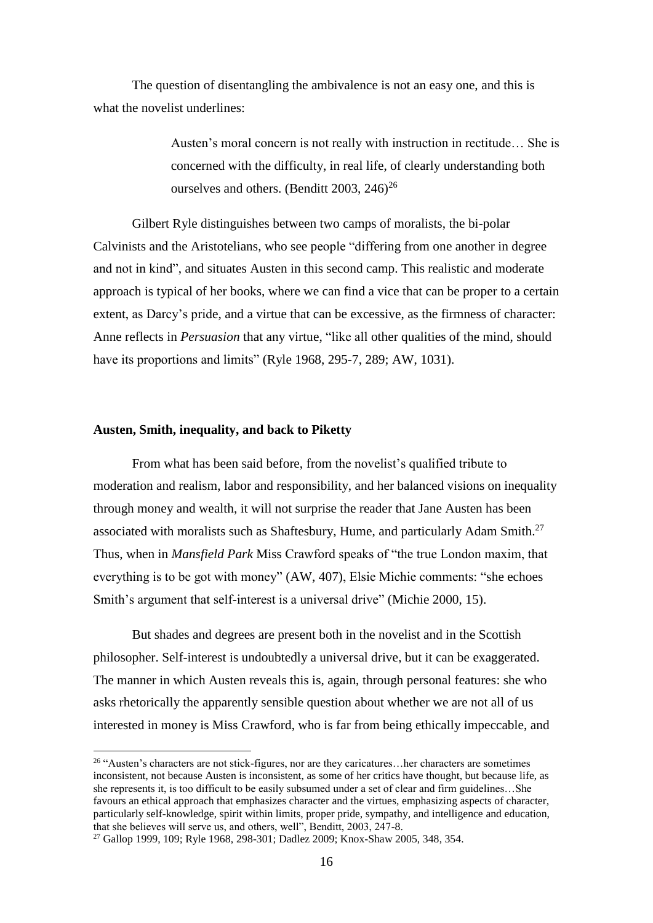The question of disentangling the ambivalence is not an easy one, and this is what the novelist underlines:

> Austen's moral concern is not really with instruction in rectitude… She is concerned with the difficulty, in real life, of clearly understanding both ourselves and others. (Benditt 2003,  $246$ )<sup>26</sup>

Gilbert Ryle distinguishes between two camps of moralists, the bi-polar Calvinists and the Aristotelians, who see people "differing from one another in degree and not in kind", and situates Austen in this second camp. This realistic and moderate approach is typical of her books, where we can find a vice that can be proper to a certain extent, as Darcy's pride, and a virtue that can be excessive, as the firmness of character: Anne reflects in *Persuasion* that any virtue, "like all other qualities of the mind, should have its proportions and limits" (Ryle 1968, 295-7, 289; AW, 1031).

#### **Austen, Smith, inequality, and back to Piketty**

1

From what has been said before, from the novelist's qualified tribute to moderation and realism, labor and responsibility, and her balanced visions on inequality through money and wealth, it will not surprise the reader that Jane Austen has been associated with moralists such as Shaftesbury, Hume, and particularly Adam Smith.<sup>27</sup> Thus, when in *Mansfield Park* Miss Crawford speaks of "the true London maxim, that everything is to be got with money" (AW, 407), Elsie Michie comments: "she echoes Smith's argument that self-interest is a universal drive" (Michie 2000, 15).

But shades and degrees are present both in the novelist and in the Scottish philosopher. Self-interest is undoubtedly a universal drive, but it can be exaggerated. The manner in which Austen reveals this is, again, through personal features: she who asks rhetorically the apparently sensible question about whether we are not all of us interested in money is Miss Crawford, who is far from being ethically impeccable, and

<sup>&</sup>lt;sup>26</sup> "Austen's characters are not stick-figures, nor are they caricatures...her characters are sometimes inconsistent, not because Austen is inconsistent, as some of her critics have thought, but because life, as she represents it, is too difficult to be easily subsumed under a set of clear and firm guidelines…She favours an ethical approach that emphasizes character and the virtues, emphasizing aspects of character, particularly self-knowledge, spirit within limits, proper pride, sympathy, and intelligence and education, that she believes will serve us, and others, well", Benditt, 2003, 247-8.

<sup>27</sup> Gallop 1999, 109; Ryle 1968, 298-301; Dadlez 2009; Knox-Shaw 2005, 348, 354.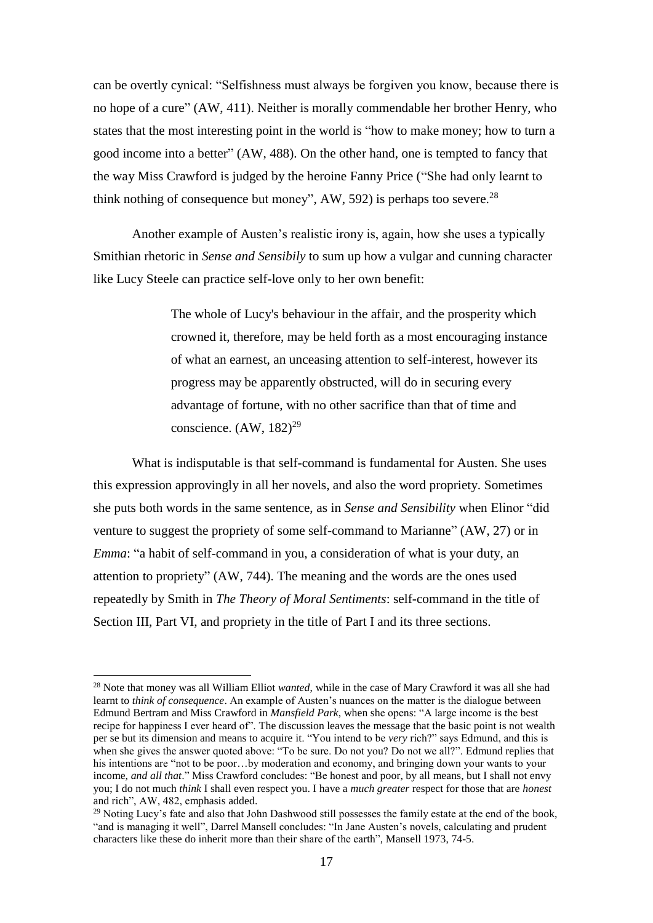can be overtly cynical: "Selfishness must always be forgiven you know, because there is no hope of a cure" (AW, 411). Neither is morally commendable her brother Henry, who states that the most interesting point in the world is "how to make money; how to turn a good income into a better" (AW, 488). On the other hand, one is tempted to fancy that the way Miss Crawford is judged by the heroine Fanny Price ("She had only learnt to think nothing of consequence but money", AW, 592) is perhaps too severe.<sup>28</sup>

Another example of Austen's realistic irony is, again, how she uses a typically Smithian rhetoric in *Sense and Sensibily* to sum up how a vulgar and cunning character like Lucy Steele can practice self-love only to her own benefit:

> The whole of Lucy's behaviour in the affair, and the prosperity which crowned it, therefore, may be held forth as a most encouraging instance of what an earnest, an unceasing attention to self-interest, however its progress may be apparently obstructed, will do in securing every advantage of fortune, with no other sacrifice than that of time and conscience.  $(AW, 182)^{29}$

What is indisputable is that self-command is fundamental for Austen. She uses this expression approvingly in all her novels, and also the word propriety. Sometimes she puts both words in the same sentence, as in *Sense and Sensibility* when Elinor "did venture to suggest the propriety of some self-command to Marianne" (AW, 27) or in *Emma*: "a habit of self-command in you, a consideration of what is your duty, an attention to propriety" (AW, 744). The meaning and the words are the ones used repeatedly by Smith in *The Theory of Moral Sentiments*: self-command in the title of Section III, Part VI, and propriety in the title of Part I and its three sections.

<sup>28</sup> Note that money was all William Elliot *wanted*, while in the case of Mary Crawford it was all she had learnt to *think of consequence*. An example of Austen's nuances on the matter is the dialogue between Edmund Bertram and Miss Crawford in *Mansfield Park*, when she opens: "A large income is the best recipe for happiness I ever heard of". The discussion leaves the message that the basic point is not wealth per se but its dimension and means to acquire it. "You intend to be *very* rich?" says Edmund, and this is when she gives the answer quoted above: "To be sure. Do not you? Do not we all?". Edmund replies that his intentions are "not to be poor...by moderation and economy, and bringing down your wants to your income, *and all that*." Miss Crawford concludes: "Be honest and poor, by all means, but I shall not envy you; I do not much *think* I shall even respect you. I have a *much greater* respect for those that are *honest* and rich", AW, 482, emphasis added.

<sup>&</sup>lt;sup>29</sup> Noting Lucy's fate and also that John Dashwood still possesses the family estate at the end of the book, "and is managing it well", Darrel Mansell concludes: "In Jane Austen's novels, calculating and prudent characters like these do inherit more than their share of the earth", Mansell 1973, 74-5.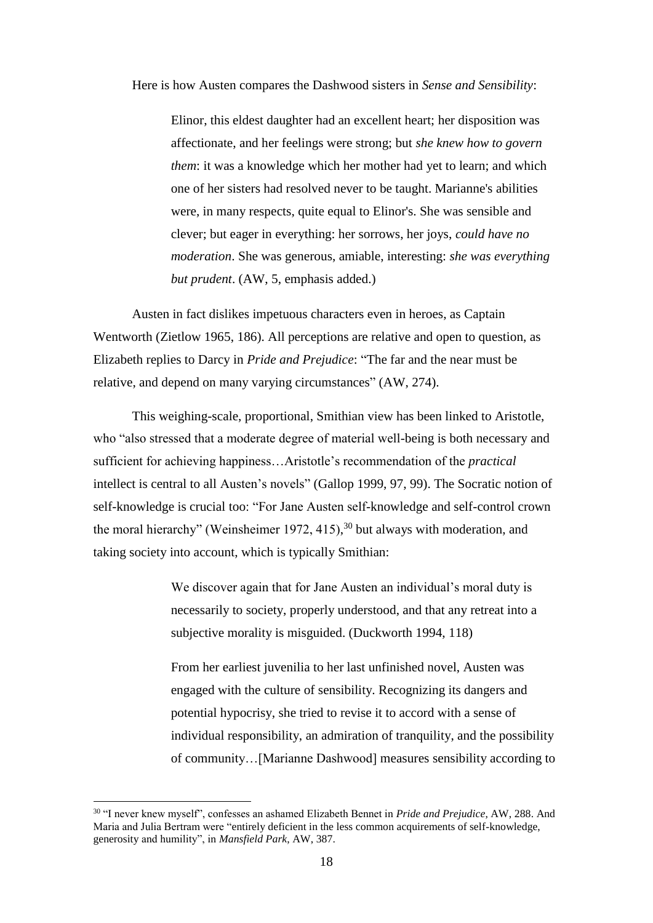Here is how Austen compares the Dashwood sisters in *Sense and Sensibility*:

Elinor, this eldest daughter had an excellent heart; her disposition was affectionate, and her feelings were strong; but *she knew how to govern them*: it was a knowledge which her mother had yet to learn; and which one of her sisters had resolved never to be taught. Marianne's abilities were, in many respects, quite equal to Elinor's. She was sensible and clever; but eager in everything: her sorrows, her joys, *could have no moderation*. She was generous, amiable, interesting: *she was everything but prudent*. (AW, 5, emphasis added.)

Austen in fact dislikes impetuous characters even in heroes, as Captain Wentworth (Zietlow 1965, 186). All perceptions are relative and open to question, as Elizabeth replies to Darcy in *Pride and Prejudice*: "The far and the near must be relative, and depend on many varying circumstances" (AW, 274).

This weighing-scale, proportional, Smithian view has been linked to Aristotle, who "also stressed that a moderate degree of material well-being is both necessary and sufficient for achieving happiness…Aristotle's recommendation of the *practical*  intellect is central to all Austen's novels" (Gallop 1999, 97, 99). The Socratic notion of self-knowledge is crucial too: "For Jane Austen self-knowledge and self-control crown the moral hierarchy" (Weinsheimer 1972, 415),<sup>30</sup> but always with moderation, and taking society into account, which is typically Smithian:

> We discover again that for Jane Austen an individual's moral duty is necessarily to society, properly understood, and that any retreat into a subjective morality is misguided. (Duckworth 1994, 118)

From her earliest juvenilia to her last unfinished novel, Austen was engaged with the culture of sensibility. Recognizing its dangers and potential hypocrisy, she tried to revise it to accord with a sense of individual responsibility, an admiration of tranquility, and the possibility of community…[Marianne Dashwood] measures sensibility according to

<sup>30</sup> "I never knew myself", confesses an ashamed Elizabeth Bennet in *Pride and Prejudice*, AW, 288. And Maria and Julia Bertram were "entirely deficient in the less common acquirements of self-knowledge, generosity and humility", in *Mansfield Park*, AW, 387.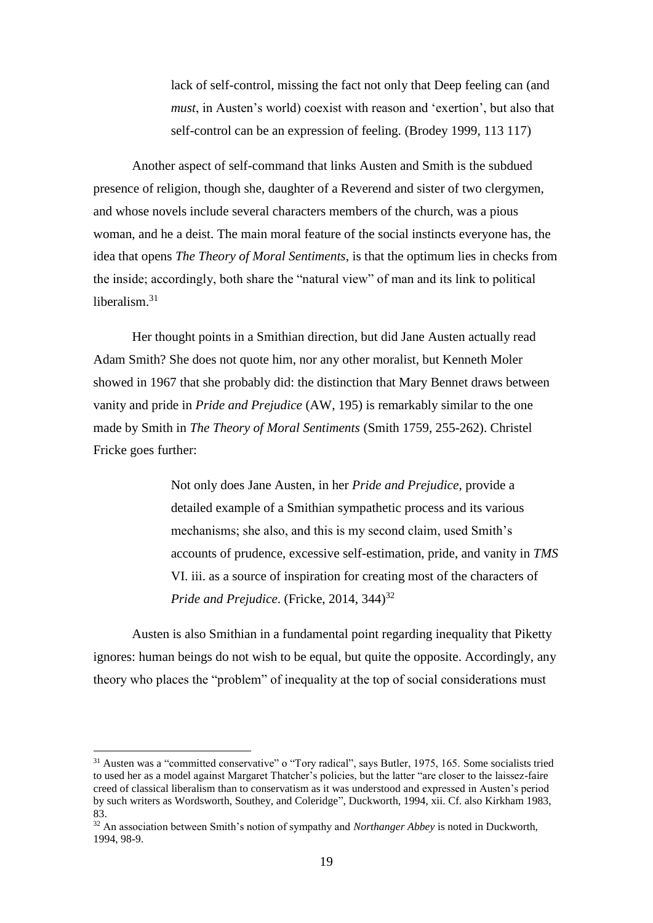lack of self-control, missing the fact not only that Deep feeling can (and *must*, in Austen's world) coexist with reason and 'exertion', but also that self-control can be an expression of feeling. (Brodey 1999, 113 117)

Another aspect of self-command that links Austen and Smith is the subdued presence of religion, though she, daughter of a Reverend and sister of two clergymen, and whose novels include several characters members of the church, was a pious woman, and he a deist. The main moral feature of the social instincts everyone has, the idea that opens *The Theory of Moral Sentiments*, is that the optimum lies in checks from the inside; accordingly, both share the "natural view" of man and its link to political liberalism.<sup>31</sup>

Her thought points in a Smithian direction, but did Jane Austen actually read Adam Smith? She does not quote him, nor any other moralist, but Kenneth Moler showed in 1967 that she probably did: the distinction that Mary Bennet draws between vanity and pride in *Pride and Prejudice* (AW, 195) is remarkably similar to the one made by Smith in *The Theory of Moral Sentiments* (Smith 1759, 255-262). Christel Fricke goes further:

> Not only does Jane Austen, in her *Pride and Prejudice*, provide a detailed example of a Smithian sympathetic process and its various mechanisms; she also, and this is my second claim, used Smith's accounts of prudence, excessive self-estimation, pride, and vanity in *TMS* VI. iii. as a source of inspiration for creating most of the characters of *Pride and Prejudice.* (Fricke, 2014, 344)<sup>32</sup>

Austen is also Smithian in a fundamental point regarding inequality that Piketty ignores: human beings do not wish to be equal, but quite the opposite. Accordingly, any theory who places the "problem" of inequality at the top of social considerations must

<sup>&</sup>lt;sup>31</sup> Austen was a "committed conservative" o "Tory radical", says Butler, 1975, 165. Some socialists tried to used her as a model against Margaret Thatcher's policies, but the latter "are closer to the laissez-faire creed of classical liberalism than to conservatism as it was understood and expressed in Austen's period by such writers as Wordsworth, Southey, and Coleridge", Duckworth, 1994, xii. Cf. also Kirkham 1983, 83.

<sup>32</sup> An association between Smith's notion of sympathy and *Northanger Abbey* is noted in Duckworth, 1994, 98-9.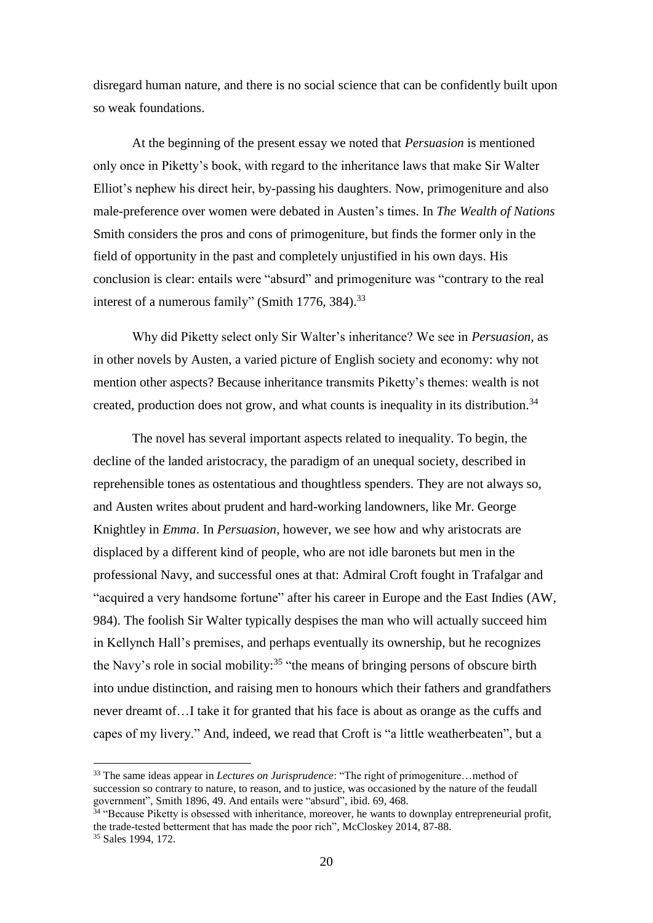disregard human nature, and there is no social science that can be confidently built upon so weak foundations.

At the beginning of the present essay we noted that *Persuasion* is mentioned only once in Piketty's book, with regard to the inheritance laws that make Sir Walter Elliot's nephew his direct heir, by-passing his daughters. Now, primogeniture and also male-preference over women were debated in Austen's times. In *The Wealth of Nations*  Smith considers the pros and cons of primogeniture, but finds the former only in the field of opportunity in the past and completely unjustified in his own days. His conclusion is clear: entails were "absurd" and primogeniture was "contrary to the real interest of a numerous family" (Smith 1776, 384).<sup>33</sup>

Why did Piketty select only Sir Walter's inheritance? We see in *Persuasion*, as in other novels by Austen, a varied picture of English society and economy: why not mention other aspects? Because inheritance transmits Piketty's themes: wealth is not created, production does not grow, and what counts is inequality in its distribution.<sup>34</sup>

The novel has several important aspects related to inequality. To begin, the decline of the landed aristocracy, the paradigm of an unequal society, described in reprehensible tones as ostentatious and thoughtless spenders. They are not always so, and Austen writes about prudent and hard-working landowners, like Mr. George Knightley in *Emma*. In *Persuasion*, however, we see how and why aristocrats are displaced by a different kind of people, who are not idle baronets but men in the professional Navy, and successful ones at that: Admiral Croft fought in Trafalgar and "acquired a very handsome fortune" after his career in Europe and the East Indies (AW, 984). The foolish Sir Walter typically despises the man who will actually succeed him in Kellynch Hall's premises, and perhaps eventually its ownership, but he recognizes the Navy's role in social mobility:<sup>35</sup> "the means of bringing persons of obscure birth into undue distinction, and raising men to honours which their fathers and grandfathers never dreamt of…I take it for granted that his face is about as orange as the cuffs and capes of my livery." And, indeed, we read that Croft is "a little weatherbeaten", but a

<sup>33</sup> The same ideas appear in *Lectures on Jurisprudence*: "The right of primogeniture…method of succession so contrary to nature, to reason, and to justice, was occasioned by the nature of the feudall government", Smith 1896, 49. And entails were "absurd", ibid. 69, 468.

<sup>&</sup>lt;sup>34</sup> "Because Piketty is obsessed with inheritance, moreover, he wants to downplay entrepreneurial profit, the trade-tested betterment that has made the poor rich", McCloskey 2014, 87-88. <sup>35</sup> Sales 1994, 172.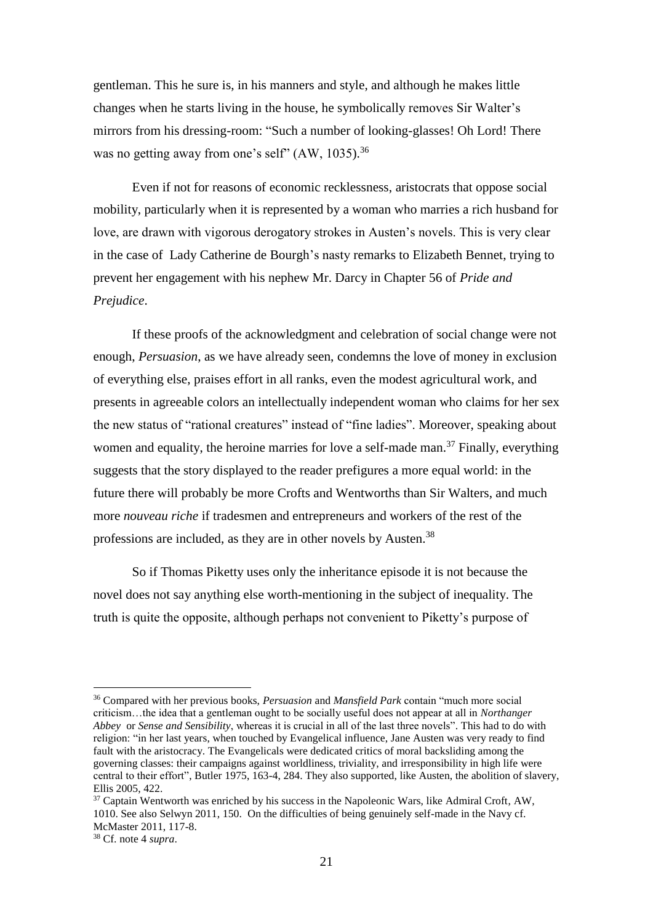gentleman. This he sure is, in his manners and style, and although he makes little changes when he starts living in the house, he symbolically removes Sir Walter's mirrors from his dressing-room: "Such a number of looking-glasses! Oh Lord! There was no getting away from one's self" (AW, 1035).<sup>36</sup>

Even if not for reasons of economic recklessness, aristocrats that oppose social mobility, particularly when it is represented by a woman who marries a rich husband for love, are drawn with vigorous derogatory strokes in Austen's novels. This is very clear in the case of Lady Catherine de Bourgh's nasty remarks to Elizabeth Bennet, trying to prevent her engagement with his nephew Mr. Darcy in Chapter 56 of *Pride and Prejudice*.

If these proofs of the acknowledgment and celebration of social change were not enough, *Persuasion*, as we have already seen, condemns the love of money in exclusion of everything else, praises effort in all ranks, even the modest agricultural work, and presents in agreeable colors an intellectually independent woman who claims for her sex the new status of "rational creatures" instead of "fine ladies". Moreover, speaking about women and equality, the heroine marries for love a self-made man.<sup>37</sup> Finally, everything suggests that the story displayed to the reader prefigures a more equal world: in the future there will probably be more Crofts and Wentworths than Sir Walters, and much more *nouveau riche* if tradesmen and entrepreneurs and workers of the rest of the professions are included, as they are in other novels by Austen.<sup>38</sup>

So if Thomas Piketty uses only the inheritance episode it is not because the novel does not say anything else worth-mentioning in the subject of inequality. The truth is quite the opposite, although perhaps not convenient to Piketty's purpose of

<sup>36</sup> Compared with her previous books, *Persuasion* and *Mansfield Park* contain "much more social criticism…the idea that a gentleman ought to be socially useful does not appear at all in *Northanger Abbey* or *Sense and Sensibility*, whereas it is crucial in all of the last three novels". This had to do with religion: "in her last years, when touched by Evangelical influence, Jane Austen was very ready to find fault with the aristocracy. The Evangelicals were dedicated critics of moral backsliding among the governing classes: their campaigns against worldliness, triviality, and irresponsibility in high life were central to their effort", Butler 1975, 163-4, 284. They also supported, like Austen, the abolition of slavery, Ellis 2005, 422.

<sup>&</sup>lt;sup>37</sup> Captain Wentworth was enriched by his success in the Napoleonic Wars, like Admiral Croft, AW, 1010. See also Selwyn 2011, 150. On the difficulties of being genuinely self-made in the Navy cf. McMaster 2011, 117-8.

<sup>38</sup> Cf. note 4 *supra*.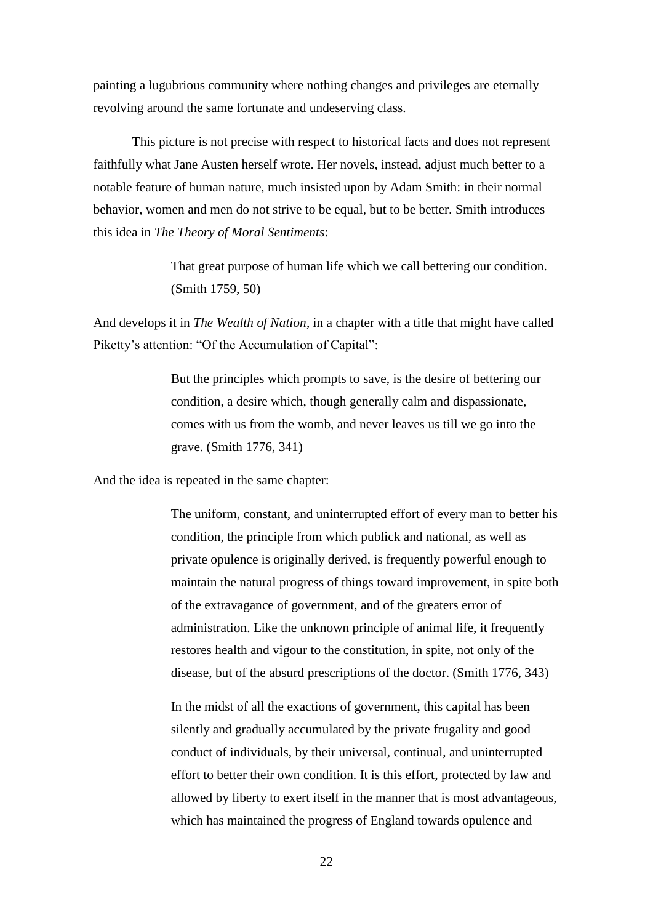painting a lugubrious community where nothing changes and privileges are eternally revolving around the same fortunate and undeserving class.

This picture is not precise with respect to historical facts and does not represent faithfully what Jane Austen herself wrote. Her novels, instead, adjust much better to a notable feature of human nature, much insisted upon by Adam Smith: in their normal behavior, women and men do not strive to be equal, but to be better. Smith introduces this idea in *The Theory of Moral Sentiments*:

> That great purpose of human life which we call bettering our condition. (Smith 1759, 50)

And develops it in *The Wealth of Nation*, in a chapter with a title that might have called Piketty's attention: "Of the Accumulation of Capital":

> But the principles which prompts to save, is the desire of bettering our condition, a desire which, though generally calm and dispassionate, comes with us from the womb, and never leaves us till we go into the grave. (Smith 1776, 341)

And the idea is repeated in the same chapter:

The uniform, constant, and uninterrupted effort of every man to better his condition, the principle from which publick and national, as well as private opulence is originally derived, is frequently powerful enough to maintain the natural progress of things toward improvement, in spite both of the extravagance of government, and of the greaters error of administration. Like the unknown principle of animal life, it frequently restores health and vigour to the constitution, in spite, not only of the disease, but of the absurd prescriptions of the doctor. (Smith 1776, 343)

In the midst of all the exactions of government, this capital has been silently and gradually accumulated by the private frugality and good conduct of individuals, by their universal, continual, and uninterrupted effort to better their own condition. It is this effort, protected by law and allowed by liberty to exert itself in the manner that is most advantageous, which has maintained the progress of England towards opulence and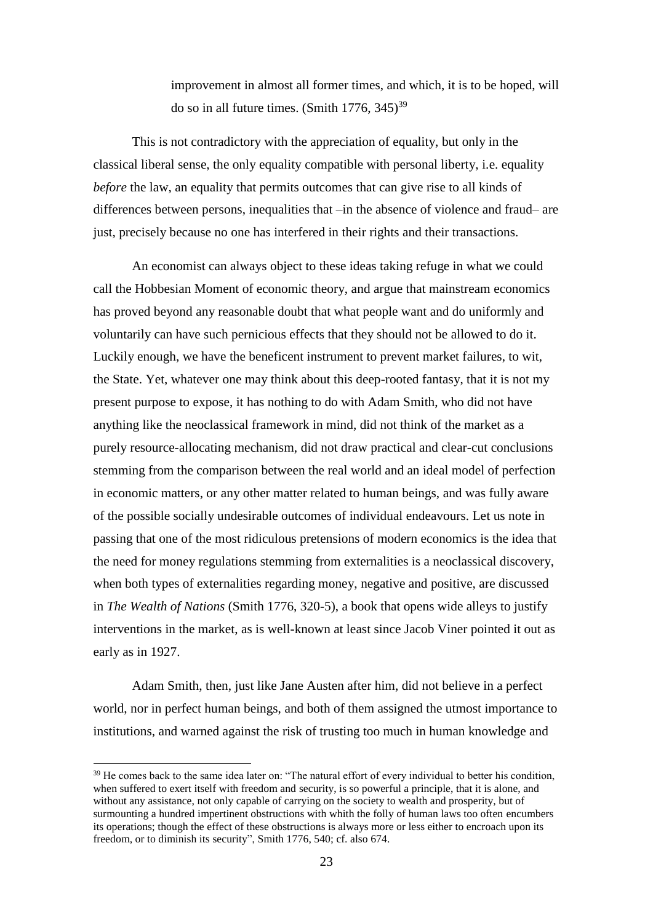improvement in almost all former times, and which, it is to be hoped, will do so in all future times. (Smith  $1776$ ,  $345$ )<sup>39</sup>

This is not contradictory with the appreciation of equality, but only in the classical liberal sense, the only equality compatible with personal liberty, i.e. equality *before* the law, an equality that permits outcomes that can give rise to all kinds of differences between persons, inequalities that –in the absence of violence and fraud– are just, precisely because no one has interfered in their rights and their transactions.

An economist can always object to these ideas taking refuge in what we could call the Hobbesian Moment of economic theory, and argue that mainstream economics has proved beyond any reasonable doubt that what people want and do uniformly and voluntarily can have such pernicious effects that they should not be allowed to do it. Luckily enough, we have the beneficent instrument to prevent market failures, to wit, the State. Yet, whatever one may think about this deep-rooted fantasy, that it is not my present purpose to expose, it has nothing to do with Adam Smith, who did not have anything like the neoclassical framework in mind, did not think of the market as a purely resource-allocating mechanism, did not draw practical and clear-cut conclusions stemming from the comparison between the real world and an ideal model of perfection in economic matters, or any other matter related to human beings, and was fully aware of the possible socially undesirable outcomes of individual endeavours. Let us note in passing that one of the most ridiculous pretensions of modern economics is the idea that the need for money regulations stemming from externalities is a neoclassical discovery, when both types of externalities regarding money, negative and positive, are discussed in *The Wealth of Nations* (Smith 1776, 320-5), a book that opens wide alleys to justify interventions in the market, as is well-known at least since Jacob Viner pointed it out as early as in 1927.

Adam Smith, then, just like Jane Austen after him, did not believe in a perfect world, nor in perfect human beings, and both of them assigned the utmost importance to institutions, and warned against the risk of trusting too much in human knowledge and

<sup>&</sup>lt;sup>39</sup> He comes back to the same idea later on: "The natural effort of every individual to better his condition, when suffered to exert itself with freedom and security, is so powerful a principle, that it is alone, and without any assistance, not only capable of carrying on the society to wealth and prosperity, but of surmounting a hundred impertinent obstructions with whith the folly of human laws too often encumbers its operations; though the effect of these obstructions is always more or less either to encroach upon its freedom, or to diminish its security", Smith 1776, 540; cf. also 674.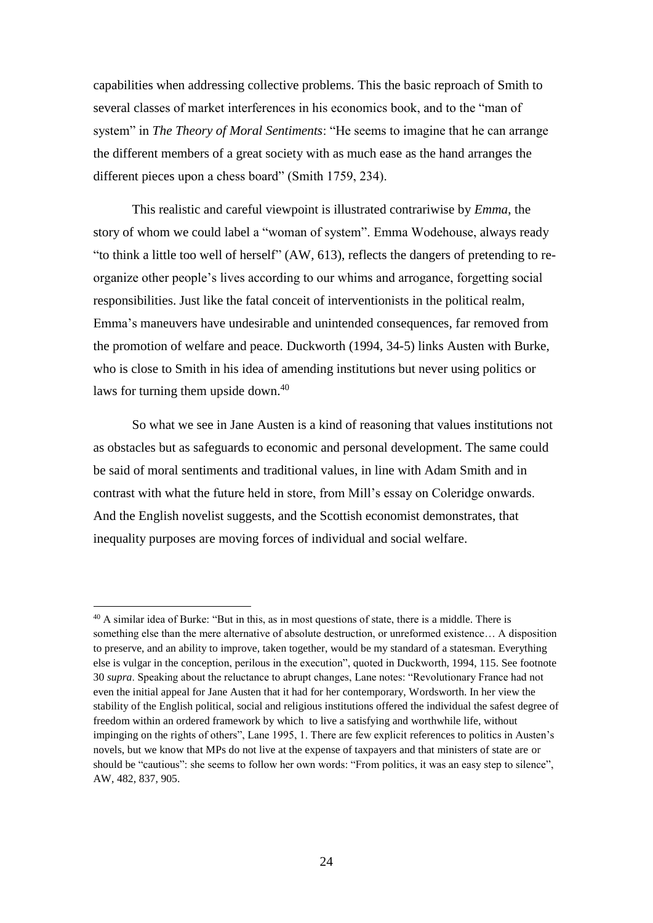capabilities when addressing collective problems. This the basic reproach of Smith to several classes of market interferences in his economics book, and to the "man of system" in *The Theory of Moral Sentiments*: "He seems to imagine that he can arrange the different members of a great society with as much ease as the hand arranges the different pieces upon a chess board" (Smith 1759, 234).

This realistic and careful viewpoint is illustrated contrariwise by *Emma*, the story of whom we could label a "woman of system". Emma Wodehouse, always ready "to think a little too well of herself" (AW, 613), reflects the dangers of pretending to reorganize other people's lives according to our whims and arrogance, forgetting social responsibilities. Just like the fatal conceit of interventionists in the political realm, Emma's maneuvers have undesirable and unintended consequences, far removed from the promotion of welfare and peace. Duckworth (1994, 34-5) links Austen with Burke, who is close to Smith in his idea of amending institutions but never using politics or laws for turning them upside down. 40

So what we see in Jane Austen is a kind of reasoning that values institutions not as obstacles but as safeguards to economic and personal development. The same could be said of moral sentiments and traditional values, in line with Adam Smith and in contrast with what the future held in store, from Mill's essay on Coleridge onwards. And the English novelist suggests, and the Scottish economist demonstrates, that inequality purposes are moving forces of individual and social welfare.

<sup>40</sup> A similar idea of Burke: "But in this, as in most questions of state, there is a middle. There is something else than the mere alternative of absolute destruction, or unreformed existence… A disposition to preserve, and an ability to improve, taken together, would be my standard of a statesman. Everything else is vulgar in the conception, perilous in the execution", quoted in Duckworth, 1994, 115. See footnote 30 *supra*. Speaking about the reluctance to abrupt changes, Lane notes: "Revolutionary France had not even the initial appeal for Jane Austen that it had for her contemporary, Wordsworth. In her view the stability of the English political, social and religious institutions offered the individual the safest degree of freedom within an ordered framework by which to live a satisfying and worthwhile life, without impinging on the rights of others", Lane 1995, 1. There are few explicit references to politics in Austen's novels, but we know that MPs do not live at the expense of taxpayers and that ministers of state are or should be "cautious": she seems to follow her own words: "From politics, it was an easy step to silence", AW, 482, 837, 905.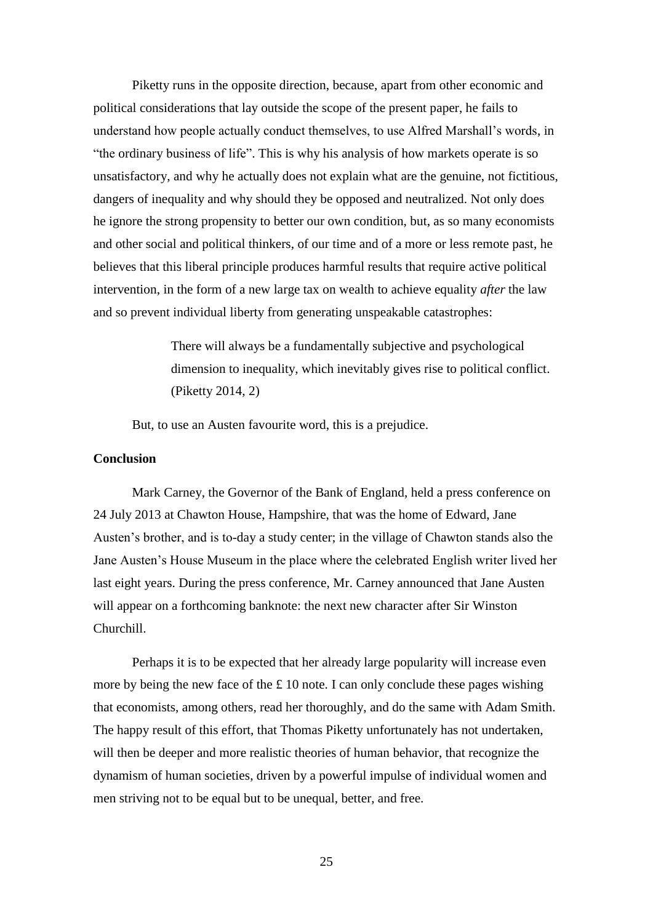Piketty runs in the opposite direction, because, apart from other economic and political considerations that lay outside the scope of the present paper, he fails to understand how people actually conduct themselves, to use Alfred Marshall's words, in "the ordinary business of life". This is why his analysis of how markets operate is so unsatisfactory, and why he actually does not explain what are the genuine, not fictitious, dangers of inequality and why should they be opposed and neutralized. Not only does he ignore the strong propensity to better our own condition, but, as so many economists and other social and political thinkers, of our time and of a more or less remote past, he believes that this liberal principle produces harmful results that require active political intervention, in the form of a new large tax on wealth to achieve equality *after* the law and so prevent individual liberty from generating unspeakable catastrophes:

> There will always be a fundamentally subjective and psychological dimension to inequality, which inevitably gives rise to political conflict. (Piketty 2014, 2)

But, to use an Austen favourite word, this is a prejudice.

# **Conclusion**

Mark Carney, the Governor of the Bank of England, held a press conference on 24 July 2013 at Chawton House, Hampshire, that was the home of Edward, Jane Austen's brother, and is to-day a study center; in the village of Chawton stands also the Jane Austen's House Museum in the place where the celebrated English writer lived her last eight years. During the press conference, Mr. Carney announced that Jane Austen will appear on a forthcoming banknote: the next new character after Sir Winston Churchill.

Perhaps it is to be expected that her already large popularity will increase even more by being the new face of the  $\pounds$  10 note. I can only conclude these pages wishing that economists, among others, read her thoroughly, and do the same with Adam Smith. The happy result of this effort, that Thomas Piketty unfortunately has not undertaken, will then be deeper and more realistic theories of human behavior, that recognize the dynamism of human societies, driven by a powerful impulse of individual women and men striving not to be equal but to be unequal, better, and free.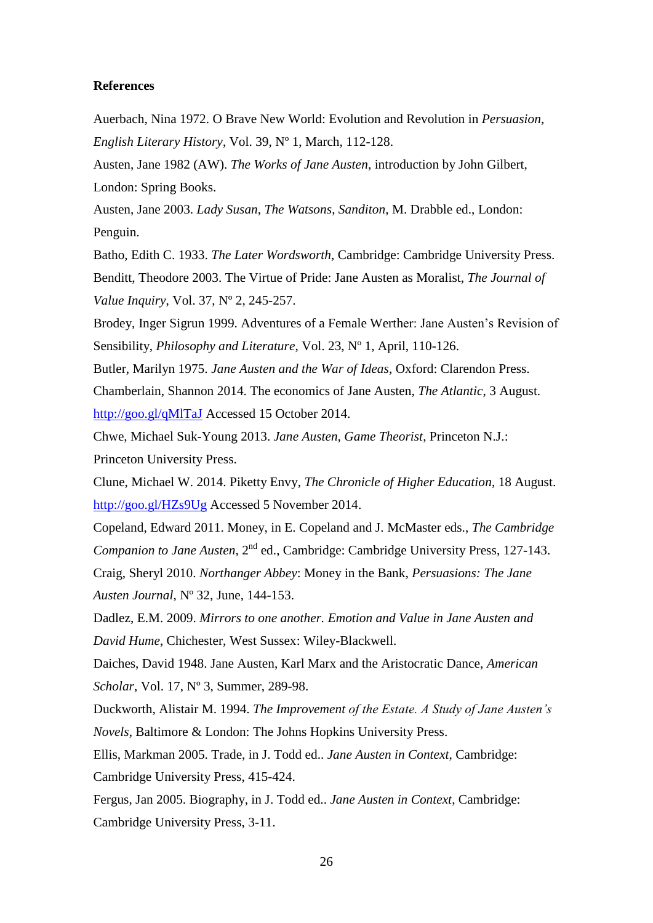#### **References**

Auerbach, Nina 1972. O Brave New World: Evolution and Revolution in *Persuasion*, *English Literary History*, Vol. 39, Nº 1, March, 112-128.

Austen, Jane 1982 (AW). *The Works of Jane Austen*, introduction by John Gilbert, London: Spring Books.

Austen, Jane 2003. *Lady Susan*, *The Watsons*, *Sanditon*, M. Drabble ed., London: Penguin.

Batho, Edith C. 1933. *The Later Wordsworth*, Cambridge: Cambridge University Press. Benditt, Theodore 2003. The Virtue of Pride: Jane Austen as Moralist, *The Journal of Value Inquiry*, Vol. 37, Nº 2, 245-257.

Brodey, Inger Sigrun 1999. Adventures of a Female Werther: Jane Austen's Revision of Sensibility, *Philosophy and Literature*, Vol. 23, Nº 1, April, 110-126.

Butler, Marilyn 1975. *Jane Austen and the War of Ideas*, Oxford: Clarendon Press. Chamberlain, Shannon 2014. The economics of Jane Austen, *The Atlantic*, 3 August. <http://goo.gl/qMlTaJ> Accessed 15 October 2014.

Chwe, Michael Suk-Young 2013. *Jane Austen, Game Theorist*, Princeton N.J.: Princeton University Press.

Clune, Michael W. 2014. Piketty Envy, *The Chronicle of Higher Education*, 18 August. <http://goo.gl/HZs9Ug> Accessed 5 November 2014.

Copeland, Edward 2011. Money, in E. Copeland and J. McMaster eds., *The Cambridge Companion to Jane Austen*, 2nd ed., Cambridge: Cambridge University Press, 127-143. Craig, Sheryl 2010. *Northanger Abbey*: Money in the Bank, *Persuasions: The Jane Austen Journal*, Nº 32, June, 144-153.

Dadlez, E.M. 2009. *Mirrors to one another. Emotion and Value in Jane Austen and David Hume*, Chichester, West Sussex: Wiley-Blackwell.

Daiches, David 1948. Jane Austen, Karl Marx and the Aristocratic Dance, *American Scholar*, Vol. 17, Nº 3, Summer, 289-98.

Duckworth, Alistair M. 1994. *The Improvement of the Estate. A Study of Jane Austen's Novels*, Baltimore & London: The Johns Hopkins University Press.

Ellis, Markman 2005. Trade, in J. Todd ed.. *Jane Austen in Context*, Cambridge: Cambridge University Press, 415-424.

Fergus, Jan 2005. Biography, in J. Todd ed.. *Jane Austen in Context*, Cambridge: Cambridge University Press, 3-11.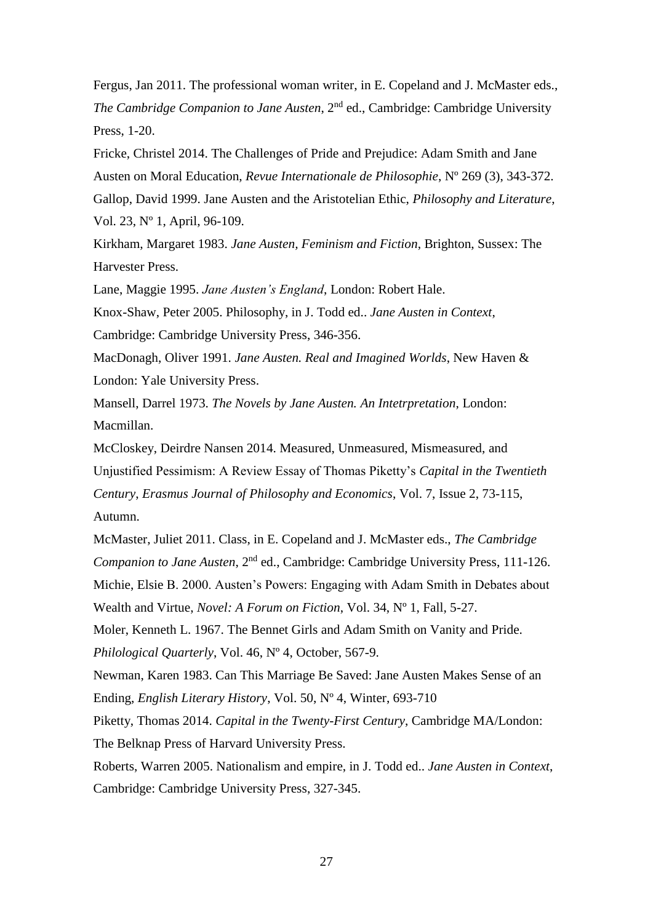Fergus, Jan 2011. The professional woman writer, in E. Copeland and J. McMaster eds., *The Cambridge Companion to Jane Austen*, 2nd ed., Cambridge: Cambridge University Press, 1-20.

Fricke, Christel 2014. The Challenges of Pride and Prejudice: Adam Smith and Jane Austen on Moral Education, *Revue Internationale de Philosophie*, Nº 269 (3), 343-372. Gallop, David 1999. Jane Austen and the Aristotelian Ethic, *Philosophy and Literature*, Vol. 23, Nº 1, April, 96-109.

Kirkham, Margaret 1983. *Jane Austen, Feminism and Fiction*, Brighton, Sussex: The Harvester Press.

Lane, Maggie 1995. *Jane Austen's England*, London: Robert Hale.

Knox-Shaw, Peter 2005. Philosophy, in J. Todd ed.. *Jane Austen in Context*,

Cambridge: Cambridge University Press, 346-356.

MacDonagh, Oliver 1991. *Jane Austen. Real and Imagined Worlds*, New Haven & London: Yale University Press.

Mansell, Darrel 1973. *The Novels by Jane Austen. An Intetrpretation*, London: Macmillan.

McCloskey, Deirdre Nansen 2014. Measured, Unmeasured, Mismeasured, and Unjustified Pessimism: A Review Essay of Thomas Piketty's *Capital in the Twentieth Century*, *Erasmus Journal of Philosophy and Economics*, Vol. 7, Issue 2, 73-115, Autumn.

McMaster, Juliet 2011. Class, in E. Copeland and J. McMaster eds., *The Cambridge Companion to Jane Austen*, 2nd ed., Cambridge: Cambridge University Press, 111-126. Michie, Elsie B. 2000. Austen's Powers: Engaging with Adam Smith in Debates about Wealth and Virtue, *Novel: A Forum on Fiction*, Vol. 34, Nº 1, Fall, 5-27.

Moler, Kenneth L. 1967. The Bennet Girls and Adam Smith on Vanity and Pride. *Philological Quarterly*, Vol. 46, Nº 4, October, 567-9.

Newman, Karen 1983. Can This Marriage Be Saved: Jane Austen Makes Sense of an Ending, *English Literary History*, Vol. 50, Nº 4, Winter, 693-710

Piketty, Thomas 2014. *Capital in the Twenty-First Century*, Cambridge MA/London: The Belknap Press of Harvard University Press.

Roberts, Warren 2005. Nationalism and empire, in J. Todd ed.. *Jane Austen in Context*, Cambridge: Cambridge University Press, 327-345.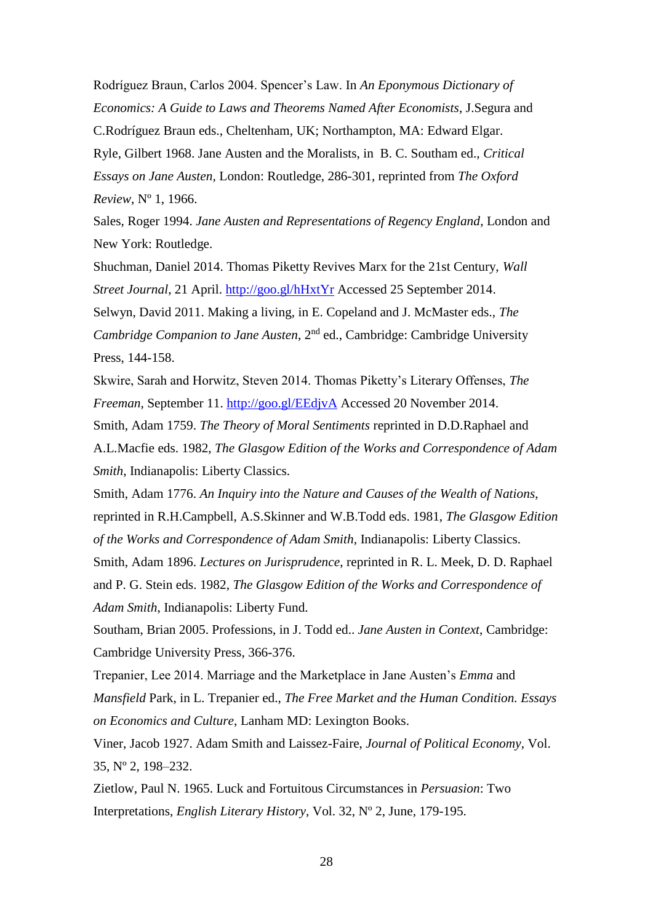Rodríguez Braun, Carlos 2004. Spencer's Law. In *An Eponymous Dictionary of Economics: A Guide to Laws and Theorems Named After Economists*, J.Segura and C.Rodríguez Braun eds., Cheltenham, UK; Northampton, MA: Edward Elgar. Ryle, Gilbert 1968. Jane Austen and the Moralists, in B. C. Southam ed., *Critical Essays on Jane Austen,* London: Routledge, 286-301, reprinted from *The Oxford Review*, Nº 1, 1966.

Sales, Roger 1994. *Jane Austen and Representations of Regency England*, London and New York: Routledge.

Shuchman, Daniel 2014. Thomas Piketty Revives Marx for the 21st Century, *Wall Street Journal*, 21 April.<http://goo.gl/hHxtYr> Accessed 25 September 2014. Selwyn, David 2011. Making a living, in E. Copeland and J. McMaster eds., *The Cambridge Companion to Jane Austen*, 2nd ed., Cambridge: Cambridge University

Press, 144-158.

Skwire, Sarah and Horwitz, Steven 2014. Thomas Piketty's Literary Offenses, *The Freeman*, September 11.<http://goo.gl/EEdjvA> Accessed 20 November 2014. Smith, Adam 1759. *The Theory of Moral Sentiments* reprinted in D.D.Raphael and A.L.Macfie eds. 1982, *The Glasgow Edition of the Works and Correspondence of Adam Smith*, Indianapolis: Liberty Classics.

Smith, Adam 1776. *An Inquiry into the Nature and Causes of the Wealth of Nations*, reprinted in R.H.Campbell, A.S.Skinner and W.B.Todd eds. 1981, *The Glasgow Edition of the Works and Correspondence of Adam Smith*, Indianapolis: Liberty Classics.

Smith, Adam 1896. *Lectures on Jurisprudence*, reprinted in R. L. Meek, D. D. Raphael and P. G. Stein eds. 1982, *The Glasgow Edition of the Works and Correspondence of Adam Smith*, Indianapolis: Liberty Fund.

Southam, Brian 2005. Professions, in J. Todd ed.. *Jane Austen in Context*, Cambridge: Cambridge University Press, 366-376.

Trepanier, Lee 2014. Marriage and the Marketplace in Jane Austen's *Emma* and *Mansfield* Park, in L. Trepanier ed., *The Free Market and the Human Condition. Essays on Economics and Culture*, Lanham MD: Lexington Books.

Viner, Jacob 1927. Adam Smith and Laissez-Faire, *Journal of Political Economy*, Vol. 35, Nº 2, 198–232.

Zietlow, Paul N. 1965. Luck and Fortuitous Circumstances in *Persuasion*: Two Interpretations, *English Literary History*, Vol. 32, Nº 2, June, 179-195.